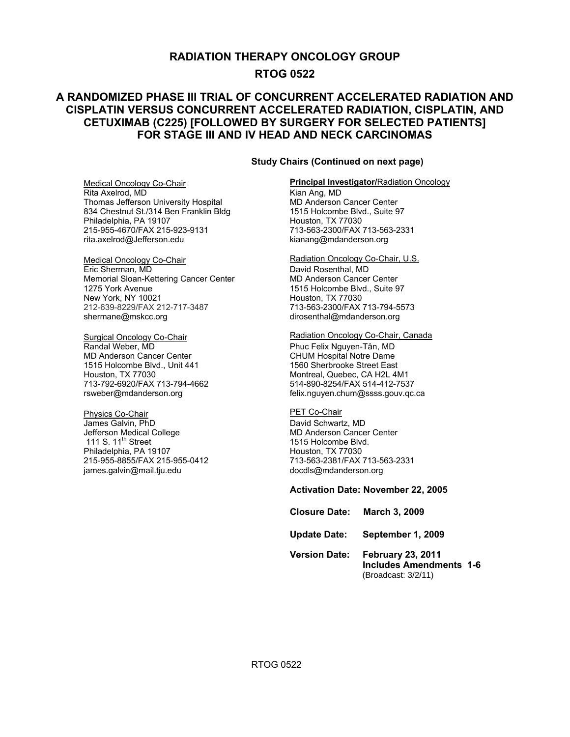## **RADIATION THERAPY ONCOLOGY GROUP**

**RTOG 0522** 

## **A RANDOMIZED PHASE III TRIAL OF CONCURRENT ACCELERATED RADIATION AND CISPLATIN VERSUS CONCURRENT ACCELERATED RADIATION, CISPLATIN, AND CETUXIMAB (C225) [FOLLOWED BY SURGERY FOR SELECTED PATIENTS] FOR STAGE III AND IV HEAD AND NECK CARCINOMAS**

#### **Study Chairs (Continued on next page)**

Rita Axelrod, MD<br>Thomas Jefferson University Hospital **Research Contains MD** Anderson Cancer Center Thomas Jefferson University Hospital MB Anderson Cancer Center<br>1515 Holcombe Blvd., Suite 97<br>1515 Holcombe Blvd., Suite 97 834 Chestnut St./314 Ben Franklin Bldg. Philadelphia, PA 19107 Houston, TX 77030 215-955-4670/FAX 215-923-9131 rita.[axelrod@Jefferson.edu](mailto:axelrod@Jefferson.edu) kianang@mdanderson.org

Medical Oncology Co-Chair **Radiation Oncology Co-Chair, U.S.** Eric Sherman, MD<br>
Memorial Sloan-Kettering Cancer Center

MD Anderson Cancer Center

MD Anderson Cancer Center Memorial Sloan-Kettering Cancer Center<br>1275 York Avenue New York, NY 10021 Houston, TX 77030 [shermane@mskcc.org](mailto:shermane@mskcc.org) dirosenthal@mdanderson.org

Randal Weber, MD Phuc Felix Nguyen-Tân, MD MD Anderson Cancer Center **CHUM Hospital Notre Dame** 1515 Holcombe Blvd., Unit 441 1560 Sherbrooke Street East Houston, TX 77030 Montreal, Quebec, CA H2L 4M1 713-792-6920/FAX 713-794-4662

Physics Co-Chair **PET Co-Chair** PET Co-Chair James Galvin, PhD<br>Jefferson Medical College de MD Anderson Cance Jefferson Medical College Manuel College MD Anderson Cancer Center<br>111 S. 11<sup>th</sup> Street MD Anderson Cancer Center 1515 Holcombe Blvd. Philadelphia, PA 19107<br>
215-955-8855/FAX 215-955-0412<br>
215-955-8855/FAX 215-955-0412<br>
213-563-2381/FAX 713-563-2331 215-955-8855/FAX 215-955-0412 james[.galvin@mail.tju.edu](mailto:galvin@mail.tju.edu) docdls@mdanderson.org

Medical Oncology Co-Chair **Principal Investigator/**Radiation Oncology

1515 Holcombe Blvd., Suite 97 713-563-2300/FAX 713-794-5573

Surgical Oncology Co-Chair **Radiation Oncology Co-Chair**, Canada [rsweber@mdanderson.org](mailto:rsweber@mdanderson.org) felix.nguyen.[chum@ssss.gouv.qc.ca](mailto:chum@ssss.gouv.qc.ca) 

1515 Holcombe Blvd.<br>Houston, TX 77030

**Activation Date: November 22, 2005** 

**Closure Date: March 3, 2009** 

**Update Date: September 1, 2009** 

**Version Date: February 23, 2011 Includes Amendments 1-6** (Broadcast: 3/2/11)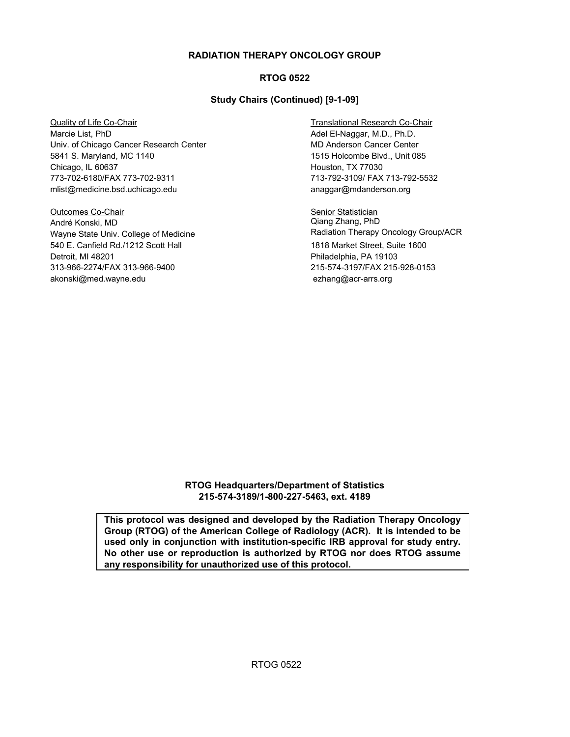### **RADIATION THERAPY ONCOLOGY GROUP**

## **RTOG 0522**

## **Study Chairs (Continued) [9-1-09]**

Quality of Life Co-Chair **Translational Research Co-Chair** Translational Research Co-Chair Marcie List, PhD **Adel El-Naggar, M.D., Ph.D.** Univ. of Chicago Cancer Research Center Museum MD Anderson Cancer Center 5841 S. Maryland, MC 1140 1515 Holcombe Blvd., Unit 085 Chicago, IL 60637 Houston, TX 77030 773-702-6180/FAX 773-702-9311 713-792-3109/ FAX 713-792-5532 [mlist@medicine.bsd.uchicago.edu](mailto:mlist@medicine.bsd.uchicago.edu) [anaggar@mdanderson.org](mailto:anaggar@mdanderson.org) anaggar@mdanderson.org

Outcomes Co-Chair **Company Company Control** Senior Statistician<br>
André Konski MD Wayne State Univ. College of Medicine 540 E. Canfield Rd./1212 Scott Hall 1818 Market Street, Suite 1600 Detroit, MI 48201 **Philadelphia, PA 19103** 313-966-2274/FAX 313-966-9400 215-574-3197/FAX 215-928-0153 [akonski@med.wayne.edu](mailto:akonski@med.wayne.edu) [ezhang@acr-arrs.org](mailto:ezhang@acr-arrs.org) ezhang@acr-arrs.org

André Konski, MD Qiang Zhang, PhD

**RTOG Headquarters/Department of Statistics 215-574-3189/1-800-227-5463, ext. 4189** 

**This protocol was designed and developed by the Radiation Therapy Oncology Group (RTOG) of the American College of Radiology (ACR). It is intended to be used only in conjunction with institution-specific IRB approval for study entry. No other use or reproduction is authorized by RTOG nor does RTOG assume any responsibility for unauthorized use of this protocol.**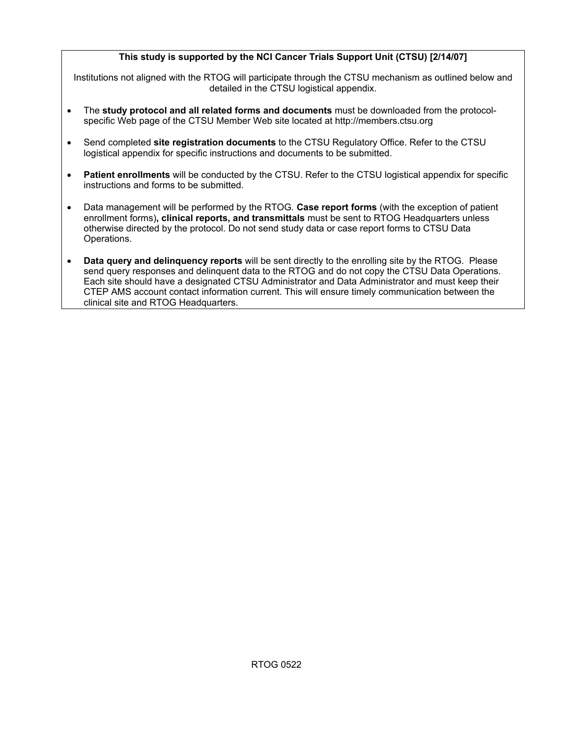## **This study is supported by the NCI Cancer Trials Support Unit (CTSU) [2/14/07]**

Institutions not aligned with the RTOG will participate through the CTSU mechanism as outlined below and detailed in the CTSU logistical appendix.

- The **study protocol and all related forms and documents** must be downloaded from the protocolspecific Web page of the CTSU Member Web site located at<http://members.ctsu.org>
- Send completed **site registration documents** to the CTSU Regulatory Office. Refer to the CTSU logistical appendix for specific instructions and documents to be submitted.
- **Patient enrollments** will be conducted by the CTSU. Refer to the CTSU logistical appendix for specific instructions and forms to be submitted.
- Data management will be performed by the RTOG*.* **Case report forms** (with the exception of patient enrollment forms)**, clinical reports, and transmittals** must be sent to RTOG Headquarters unless otherwise directed by the protocol. Do not send study data or case report forms to CTSU Data Operations.
- **Data query and delinquency reports** will be sent directly to the enrolling site by the RTOG. Please send query responses and delinquent data to the RTOG and do not copy the CTSU Data Operations. Each site should have a designated CTSU Administrator and Data Administrator and must keep their CTEP AMS account contact information current. This will ensure timely communication between the clinical site and RTOG Headquarters.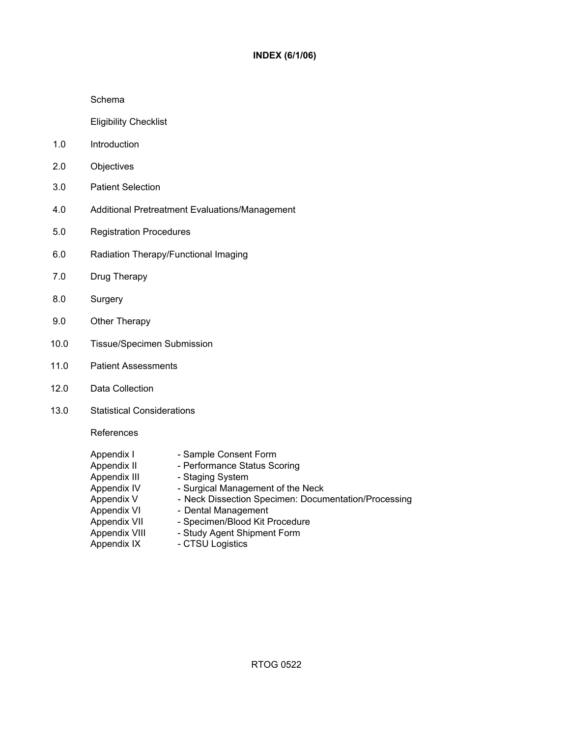## **INDEX (6/1/06)**

### Schema

Eligibility Checklist

- 1.0 Introduction
- 2.0 Objectives
- 3.0 Patient Selection
- 4.0 Additional Pretreatment Evaluations/Management
- 5.0 Registration Procedures
- 6.0 Radiation Therapy/Functional Imaging
- 7.0 Drug Therapy
- 8.0 Surgery
- 9.0 Other Therapy
- 10.0 Tissue/Specimen Submission
- 11.0 Patient Assessments
- 12.0 Data Collection
- 13.0 Statistical Considerations

References

| Appendix I    | - Sample Consent Form                                |
|---------------|------------------------------------------------------|
| Appendix II   | - Performance Status Scoring                         |
| Appendix III  | - Staging System                                     |
| Appendix IV   | - Surgical Management of the Neck                    |
| Appendix V    | - Neck Dissection Specimen: Documentation/Processing |
| Appendix VI   | - Dental Management                                  |
| Appendix VII  | - Specimen/Blood Kit Procedure                       |
| Appendix VIII | - Study Agent Shipment Form                          |
| Appendix IX   | - CTSU Logistics                                     |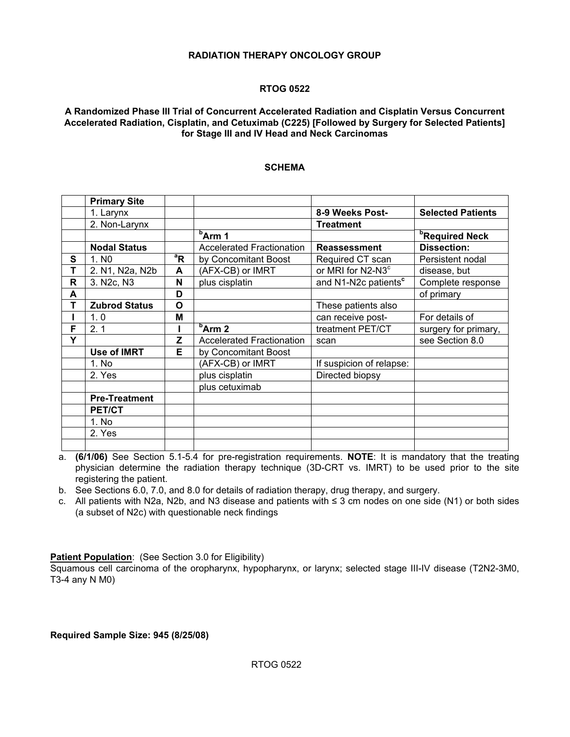### **RADIATION THERAPY ONCOLOGY GROUP**

## **RTOG 0522**

## **A Randomized Phase III Trial of Concurrent Accelerated Radiation and Cisplatin Versus Concurrent Accelerated Radiation, Cisplatin, and Cetuximab (C225) [Followed by Surgery for Selected Patients] for Stage III and IV Head and Neck Carcinomas**

#### **SCHEMA**

|   | <b>Primary Site</b>                 |                           |                                  |                                  |                            |
|---|-------------------------------------|---------------------------|----------------------------------|----------------------------------|----------------------------|
|   | 1. Larynx                           |                           |                                  | 8-9 Weeks Post-                  | <b>Selected Patients</b>   |
|   | 2. Non-Larynx                       |                           |                                  | <b>Treatment</b>                 |                            |
|   |                                     |                           | $\overline{p}$ Arm 1             |                                  | <sup>b</sup> Required Neck |
|   | <b>Nodal Status</b>                 |                           | <b>Accelerated Fractionation</b> | <b>Reassessment</b>              | <b>Dissection:</b>         |
| S | 1. N <sub>0</sub>                   | $\mathbf{R}^{\mathsf{a}}$ | by Concomitant Boost             | Required CT scan                 | Persistent nodal           |
| T | 2. N1, N2a, N2b                     | A                         | (AFX-CB) or IMRT                 | or MRI for N2-N3 <sup>c</sup>    | disease, but               |
| R | 3. N <sub>2c</sub> , N <sub>3</sub> | N                         | plus cisplatin                   | and N1-N2c patients <sup>c</sup> | Complete response          |
| A |                                     | D                         |                                  |                                  | of primary                 |
|   | <b>Zubrod Status</b>                | O                         |                                  | These patients also              |                            |
|   | 1.0                                 | M                         |                                  | can receive post-                | For details of             |
| F | 2.1                                 |                           | <sup>b</sup> Arm 2               | treatment PET/CT                 | surgery for primary,       |
| Y |                                     | Z                         | <b>Accelerated Fractionation</b> | scan                             | see Section 8.0            |
|   | Use of IMRT                         | Е                         | by Concomitant Boost             |                                  |                            |
|   | 1. No                               |                           | (AFX-CB) or IMRT                 | If suspicion of relapse:         |                            |
|   | 2. Yes                              |                           | plus cisplatin                   | Directed biopsy                  |                            |
|   |                                     |                           | plus cetuximab                   |                                  |                            |
|   | <b>Pre-Treatment</b>                |                           |                                  |                                  |                            |
|   | <b>PET/CT</b>                       |                           |                                  |                                  |                            |
|   | 1. No                               |                           |                                  |                                  |                            |
|   | 2. Yes                              |                           |                                  |                                  |                            |
|   |                                     |                           |                                  |                                  |                            |

a. **(6/1/06)** See Section 5.1-5.4 for pre-registration requirements. **NOTE**: It is mandatory that the treating physician determine the radiation therapy technique (3D-CRT vs. IMRT) to be used prior to the site registering the patient.

b. See Sections 6.0, 7.0, and 8.0 for details of radiation therapy, drug therapy, and surgery.

c. All patients with N2a, N2b, and N3 disease and patients with ≤ 3 cm nodes on one side (N1) or both sides (a subset of N2c) with questionable neck findings

## **Patient Population:** (See Section 3.0 for Eligibility)

Squamous cell carcinoma of the oropharynx, hypopharynx, or larynx; selected stage III-IV disease (T2N2-3M0, T3-4 any N M0)

**Required Sample Size: 945 (8/25/08)**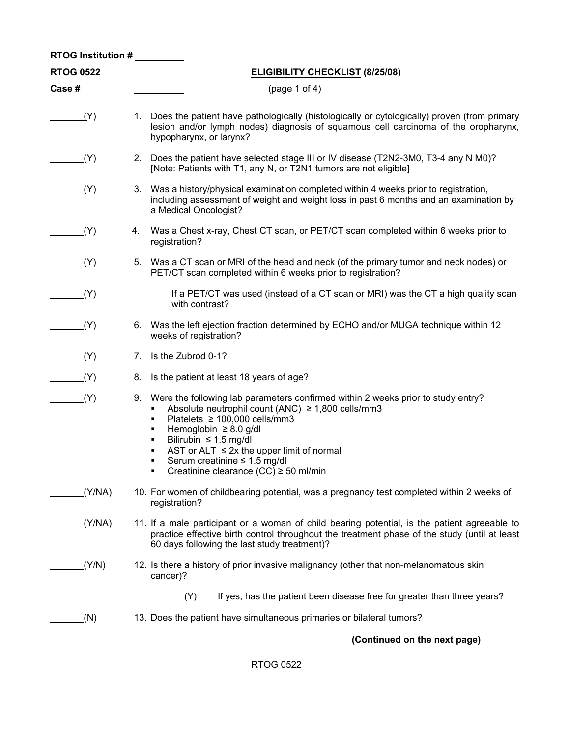| <b>RTOG Institution #</b> |                                        |                                                                                                                                                                                                                                                                                                                                                                                                         |  |  |  |
|---------------------------|----------------------------------------|---------------------------------------------------------------------------------------------------------------------------------------------------------------------------------------------------------------------------------------------------------------------------------------------------------------------------------------------------------------------------------------------------------|--|--|--|
| <b>RTOG 0522</b>          | <b>ELIGIBILITY CHECKLIST (8/25/08)</b> |                                                                                                                                                                                                                                                                                                                                                                                                         |  |  |  |
| Case #                    |                                        | (page 1 of 4)                                                                                                                                                                                                                                                                                                                                                                                           |  |  |  |
| (Y)                       |                                        | 1. Does the patient have pathologically (histologically or cytologically) proven (from primary<br>lesion and/or lymph nodes) diagnosis of squamous cell carcinoma of the oropharynx,<br>hypopharynx, or larynx?                                                                                                                                                                                         |  |  |  |
| (Y)                       |                                        | 2. Does the patient have selected stage III or IV disease (T2N2-3M0, T3-4 any N M0)?<br>[Note: Patients with T1, any N, or T2N1 tumors are not eligible]                                                                                                                                                                                                                                                |  |  |  |
| (Y)                       |                                        | 3. Was a history/physical examination completed within 4 weeks prior to registration,<br>including assessment of weight and weight loss in past 6 months and an examination by<br>a Medical Oncologist?                                                                                                                                                                                                 |  |  |  |
| (Y)                       | 4.                                     | Was a Chest x-ray, Chest CT scan, or PET/CT scan completed within 6 weeks prior to<br>registration?                                                                                                                                                                                                                                                                                                     |  |  |  |
| (Y)                       |                                        | 5. Was a CT scan or MRI of the head and neck (of the primary tumor and neck nodes) or<br>PET/CT scan completed within 6 weeks prior to registration?                                                                                                                                                                                                                                                    |  |  |  |
| (Y)                       |                                        | If a PET/CT was used (instead of a CT scan or MRI) was the CT a high quality scan<br>with contrast?                                                                                                                                                                                                                                                                                                     |  |  |  |
| (Y)                       |                                        | 6. Was the left ejection fraction determined by ECHO and/or MUGA technique within 12<br>weeks of registration?                                                                                                                                                                                                                                                                                          |  |  |  |
| (Y)                       | 7.                                     | Is the Zubrod 0-1?                                                                                                                                                                                                                                                                                                                                                                                      |  |  |  |
| (Y)                       | 8.                                     | Is the patient at least 18 years of age?                                                                                                                                                                                                                                                                                                                                                                |  |  |  |
| (Y)                       |                                        | 9. Were the following lab parameters confirmed within 2 weeks prior to study entry?<br>Absolute neutrophil count (ANC) $\geq$ 1,800 cells/mm3<br>٠<br>Platelets $\geq 100,000$ cells/mm3<br>Hemoglobin $\geq 8.0$ g/dl<br>٠<br>Bilirubin $\leq 1.5$ mg/dl<br>AST or ALT $\leq 2x$ the upper limit of normal<br>Serum creatinine $\leq 1.5$ mg/dl<br>٠<br>Creatinine clearance $(CC) \ge 50$ ml/min<br>٠ |  |  |  |
| (Y/NA)                    |                                        | 10. For women of childbearing potential, was a pregnancy test completed within 2 weeks of<br>registration?                                                                                                                                                                                                                                                                                              |  |  |  |
| (Y/NA)                    |                                        | 11. If a male participant or a woman of child bearing potential, is the patient agreeable to<br>practice effective birth control throughout the treatment phase of the study (until at least<br>60 days following the last study treatment)?                                                                                                                                                            |  |  |  |
| (Y/N)                     |                                        | 12. Is there a history of prior invasive malignancy (other that non-melanomatous skin<br>cancer)?                                                                                                                                                                                                                                                                                                       |  |  |  |
|                           |                                        | If yes, has the patient been disease free for greater than three years?<br>(Y)                                                                                                                                                                                                                                                                                                                          |  |  |  |
| (N)                       |                                        | 13. Does the patient have simultaneous primaries or bilateral tumors?                                                                                                                                                                                                                                                                                                                                   |  |  |  |

 **(Continued on the next page)**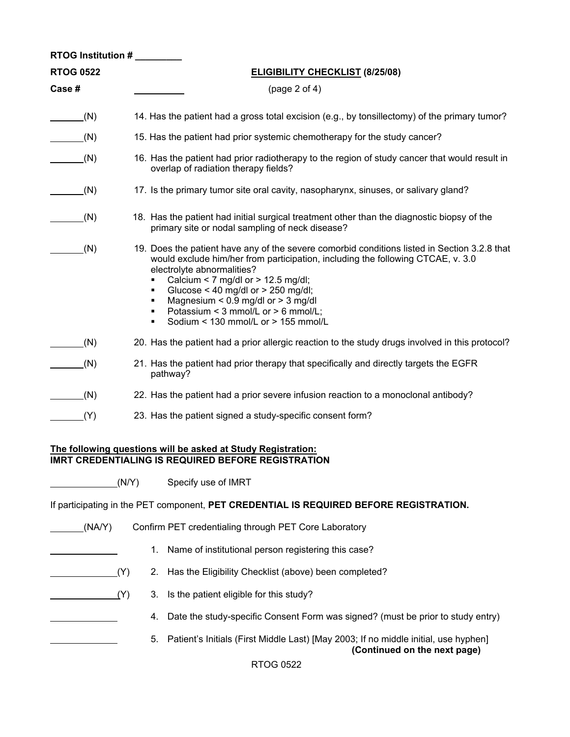| RTOG Institution # |                                                                                                                                                                                                                                                                                                                                                                                                                         |
|--------------------|-------------------------------------------------------------------------------------------------------------------------------------------------------------------------------------------------------------------------------------------------------------------------------------------------------------------------------------------------------------------------------------------------------------------------|
| <b>RTOG 0522</b>   | <b>ELIGIBILITY CHECKLIST (8/25/08)</b>                                                                                                                                                                                                                                                                                                                                                                                  |
| Case #             | (page 2 of 4)                                                                                                                                                                                                                                                                                                                                                                                                           |
| (N)                | 14. Has the patient had a gross total excision (e.g., by tonsillectomy) of the primary tumor?                                                                                                                                                                                                                                                                                                                           |
| (N)                | 15. Has the patient had prior systemic chemotherapy for the study cancer?                                                                                                                                                                                                                                                                                                                                               |
| (N)                | 16. Has the patient had prior radiotherapy to the region of study cancer that would result in<br>overlap of radiation therapy fields?                                                                                                                                                                                                                                                                                   |
| (N)                | 17. Is the primary tumor site oral cavity, nasopharynx, sinuses, or salivary gland?                                                                                                                                                                                                                                                                                                                                     |
| (N)                | 18. Has the patient had initial surgical treatment other than the diagnostic biopsy of the<br>primary site or nodal sampling of neck disease?                                                                                                                                                                                                                                                                           |
| (N)                | 19. Does the patient have any of the severe comorbid conditions listed in Section 3.2.8 that<br>would exclude him/her from participation, including the following CTCAE, v. 3.0<br>electrolyte abnormalities?<br>Calcium < 7 mg/dl or > 12.5 mg/dl;<br>Glucose < 40 mg/dl or > 250 mg/dl;<br>Magnesium < 0.9 mg/dl or > 3 mg/dl<br>Potassium < 3 mmol/L or > 6 mmol/L;<br>٠<br>Sodium < 130 mmol/L or > 155 mmol/L<br>٠ |
| (N)                | 20. Has the patient had a prior allergic reaction to the study drugs involved in this protocol?                                                                                                                                                                                                                                                                                                                         |
| (N)                | 21. Has the patient had prior therapy that specifically and directly targets the EGFR<br>pathway?                                                                                                                                                                                                                                                                                                                       |
| (N)                | 22. Has the patient had a prior severe infusion reaction to a monoclonal antibody?                                                                                                                                                                                                                                                                                                                                      |
| (Y)                | 23. Has the patient signed a study-specific consent form?                                                                                                                                                                                                                                                                                                                                                               |
|                    | The following questions will be asked at Study Registration:<br><b>IMRT CREDENTIALING IS REQUIRED BEFORE REGISTRATION</b>                                                                                                                                                                                                                                                                                               |
|                    | (N/Y)<br>Specify use of IMRT                                                                                                                                                                                                                                                                                                                                                                                            |
|                    | If participating in the PET component, PET CREDENTIAL IS REQUIRED BEFORE REGISTRATION.                                                                                                                                                                                                                                                                                                                                  |

| Confirm PET credentialing through PET Core Laboratory<br>(NAYY) |     |    |                                                                                                                        |  |  |
|-----------------------------------------------------------------|-----|----|------------------------------------------------------------------------------------------------------------------------|--|--|
|                                                                 |     | 1. | Name of institutional person registering this case?                                                                    |  |  |
|                                                                 | (Y) |    | 2. Has the Eligibility Checklist (above) been completed?                                                               |  |  |
|                                                                 | (Y) | 3. | Is the patient eligible for this study?                                                                                |  |  |
|                                                                 |     | 4. | Date the study-specific Consent Form was signed? (must be prior to study entry)                                        |  |  |
|                                                                 |     |    | 5. Patient's Initials (First Middle Last) [May 2003; If no middle initial, use hyphen]<br>(Continued on the next page) |  |  |
|                                                                 |     |    | RTOG 0522                                                                                                              |  |  |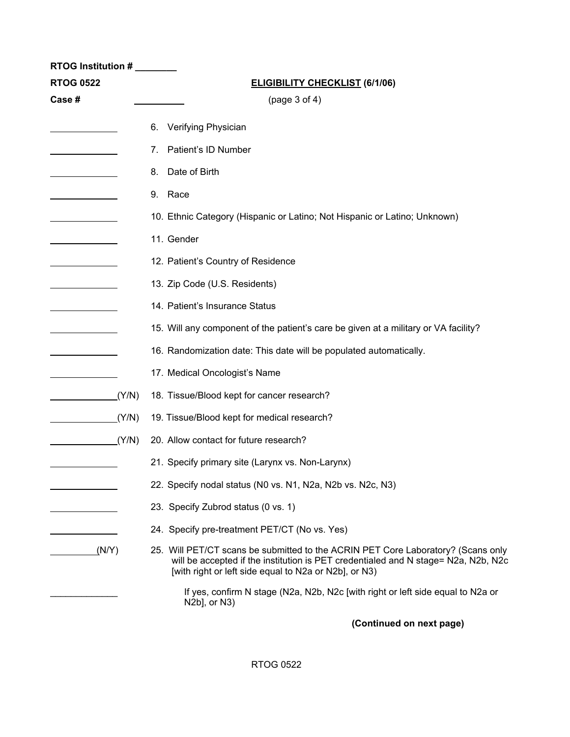| RTOG Institution # |                                                                                                                                                                                                                                 |
|--------------------|---------------------------------------------------------------------------------------------------------------------------------------------------------------------------------------------------------------------------------|
| <b>RTOG 0522</b>   | <b>ELIGIBILITY CHECKLIST (6/1/06)</b>                                                                                                                                                                                           |
| Case#              | (page 3 of 4)                                                                                                                                                                                                                   |
|                    | Verifying Physician<br>6.                                                                                                                                                                                                       |
|                    | Patient's ID Number<br>7.                                                                                                                                                                                                       |
|                    | Date of Birth<br>8.                                                                                                                                                                                                             |
|                    | Race<br>9.                                                                                                                                                                                                                      |
|                    | 10. Ethnic Category (Hispanic or Latino; Not Hispanic or Latino; Unknown)                                                                                                                                                       |
|                    | 11. Gender                                                                                                                                                                                                                      |
|                    | 12. Patient's Country of Residence                                                                                                                                                                                              |
|                    | 13. Zip Code (U.S. Residents)                                                                                                                                                                                                   |
|                    | 14. Patient's Insurance Status                                                                                                                                                                                                  |
|                    | 15. Will any component of the patient's care be given at a military or VA facility?                                                                                                                                             |
|                    | 16. Randomization date: This date will be populated automatically.                                                                                                                                                              |
|                    | 17. Medical Oncologist's Name                                                                                                                                                                                                   |
| (Y/N)              | 18. Tissue/Blood kept for cancer research?                                                                                                                                                                                      |
| (Y/N)              | 19. Tissue/Blood kept for medical research?                                                                                                                                                                                     |
| (Y/N)              | 20. Allow contact for future research?                                                                                                                                                                                          |
|                    | 21. Specify primary site (Larynx vs. Non-Larynx)                                                                                                                                                                                |
|                    | 22. Specify nodal status (N0 vs. N1, N2a, N2b vs. N2c, N3)                                                                                                                                                                      |
|                    | 23. Specify Zubrod status (0 vs. 1)                                                                                                                                                                                             |
|                    | 24. Specify pre-treatment PET/CT (No vs. Yes)                                                                                                                                                                                   |
| (N/Y)              | 25. Will PET/CT scans be submitted to the ACRIN PET Core Laboratory? (Scans only<br>will be accepted if the institution is PET credentialed and N stage= N2a, N2b, N2c<br>[with right or left side equal to N2a or N2b], or N3) |
|                    | If yes, confirm N stage (N2a, N2b, N2c [with right or left side equal to N2a or<br>N2b], or N3)                                                                                                                                 |

**(Continued on next page)**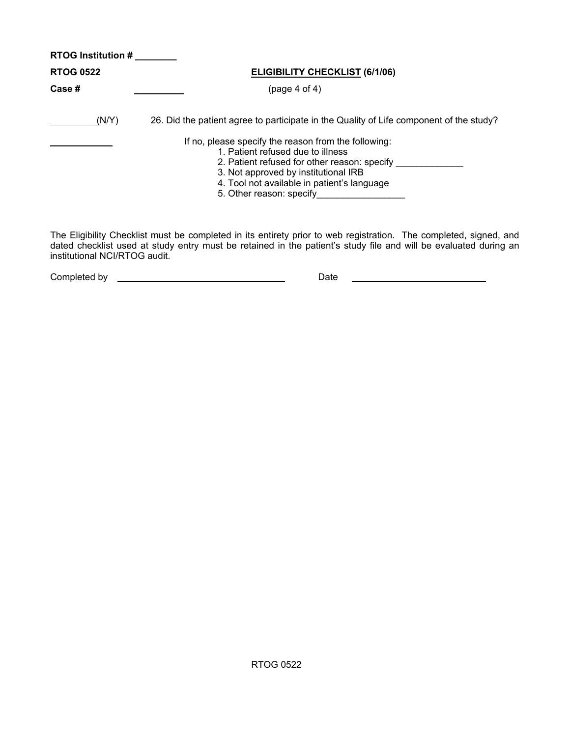| <b>RTOG Institution #</b> |                                                                                                                                                                                                                                                              |
|---------------------------|--------------------------------------------------------------------------------------------------------------------------------------------------------------------------------------------------------------------------------------------------------------|
| <b>RTOG 0522</b>          | <b>ELIGIBILITY CHECKLIST (6/1/06)</b>                                                                                                                                                                                                                        |
| Case #                    | (page 4 of 4)                                                                                                                                                                                                                                                |
| (N/Y)                     | 26. Did the patient agree to participate in the Quality of Life component of the study?                                                                                                                                                                      |
|                           | If no, please specify the reason from the following:<br>1. Patient refused due to illness<br>2. Patient refused for other reason: specify<br>3. Not approved by institutional IRB<br>4. Tool not available in patient's language<br>5. Other reason: specify |

The Eligibility Checklist must be completed in its entirety prior to web registration. The completed, signed, and dated checklist used at study entry must be retained in the patient's study file and will be evaluated during an institutional NCI/RTOG audit.

Completed by Date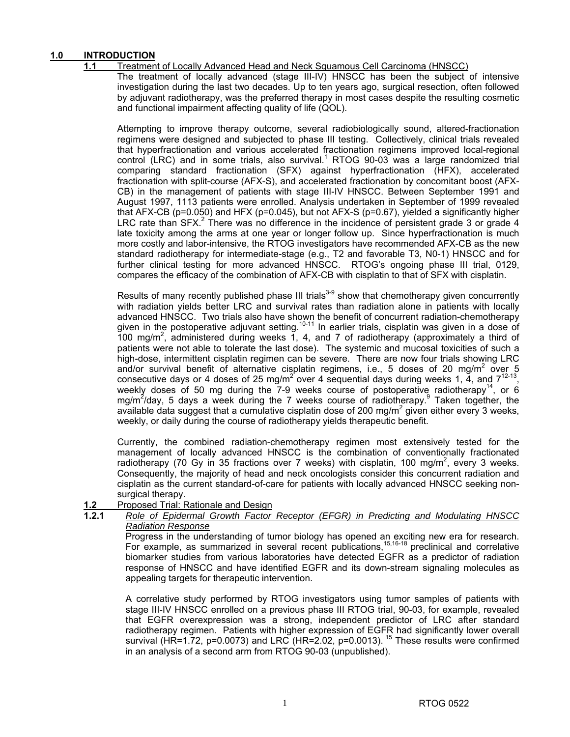#### **1.0 INTRODUCTION**

### **1.1** Treatment of Locally Advanced Head and Neck Squamous Cell Carcinoma (HNSCC)

The treatment of locally advanced (stage III-IV) HNSCC has been the subject of intensive investigation during the last two decades. Up to ten years ago, surgical resection, often followed by adjuvant radiotherapy, was the preferred therapy in most cases despite the resulting cosmetic and functional impairment affecting quality of life (QOL).

Attempting to improve therapy outcome, several radiobiologically sound, altered-fractionation regimens were designed and subjected to phase III testing. Collectively, clinical trials revealed that hyperfractionation and various accelerated fractionation regimens improved local-regional  $control$  (LRC) and in some trials, also survival.<sup>1</sup> RTOG 90-03 was a large randomized trial comparing standard fractionation (SFX) against hyperfractionation (HFX), accelerated fractionation with split-course (AFX-S), and accelerated fractionation by concomitant boost (AFX-CB) in the management of patients with stage III-IV HNSCC. Between September 1991 and August 1997, 1113 patients were enrolled. Analysis undertaken in September of 1999 revealed that AFX-CB (p=0.050) and HFX (p=0.045), but not AFX-S (p=0.67), yielded a significantly higher LRC rate than  $SFX$ <sup>2</sup> There was no difference in the incidence of persistent grade 3 or grade 4 late toxicity among the arms at one year or longer follow up. Since hyperfractionation is much more costly and labor-intensive, the RTOG investigators have recommended AFX-CB as the new standard radiotherapy for intermediate-stage (e.g., T2 and favorable T3, N0-1) HNSCC and for further clinical testing for more advanced HNSCC. RTOG's ongoing phase III trial, 0129, compares the efficacy of the combination of AFX-CB with cisplatin to that of SFX with cisplatin.

Results of many recently published phase III trials<sup>3-9</sup> show that chemotherapy given concurrently with radiation yields better LRC and survival rates than radiation alone in patients with locally advanced HNSCC. Two trials also have shown the benefit of concurrent radiation-chemotherapy given in the postoperative adjuvant setting.<sup>10-11</sup> In earlier trials, cisplatin was given in a dose of 100 mg/m<sup>2</sup>, administered during weeks 1, 4, and 7 of radiotherapy (approximately a third of patients were not able to tolerate the last dose). The systemic and mucosal toxicities of such a high-dose, intermittent cisplatin regimen can be severe. There are now four trials showing LRC and/or survival benefit of alternative cisplatin regimens, i.e., 5 doses of 20 mg/m<sup>2</sup> over 5 consecutive days or 4 doses of 25 mg/m<sup>2</sup> over 4 sequential days during weeks 1, 4, and  $7^{12-13}$ , weekly doses of 50 mg during the  $7-9$  weeks course of postoperative radiotherapy<sup>14</sup>, or 6 mg/m<sup>2</sup>/day, 5 days a week during the 7 weeks course of radiotherapy.<sup>9</sup> Taken together, the available data suggest that a cumulative cisplatin dose of 200 mg/m<sup>2</sup> given either every 3 weeks, weekly, or daily during the course of radiotherapy yields therapeutic benefit.

Currently, the combined radiation-chemotherapy regimen most extensively tested for the management of locally advanced HNSCC is the combination of conventionally fractionated radiotherapy (70 Gy in 35 fractions over 7 weeks) with cisplatin, 100 mg/m<sup>2</sup>, every 3 weeks. Consequently, the majority of head and neck oncologists consider this concurrent radiation and cisplatin as the current standard-of-care for patients with locally advanced HNSCC seeking nonsurgical therapy.

# **1.2** Proposed Trial: Rationale and Design

#### **1.2.1** *Role of Epidermal Growth Factor Receptor (EFGR) in Predicting and Modulating HNSCC Radiation Response*

Progress in the understanding of tumor biology has opened an exciting new era for research. For example, as summarized in several recent publications,<sup>15,16-18</sup> preclinical and correlative biomarker studies from various laboratories have detected EGFR as a predictor of radiation response of HNSCC and have identified EGFR and its down-stream signaling molecules as appealing targets for therapeutic intervention.

A correlative study performed by RTOG investigators using tumor samples of patients with stage III-IV HNSCC enrolled on a previous phase III RTOG trial, 90-03, for example, revealed that EGFR overexpression was a strong, independent predictor of LRC after standard radiotherapy regimen. Patients with higher expression of EGFR had significantly lower overall survival (HR=1.72, p=0.0073) and LRC (HR=2.02, p=0.0013).<sup>15</sup> These results were confirmed in an analysis of a second arm from RTOG 90-03 (unpublished).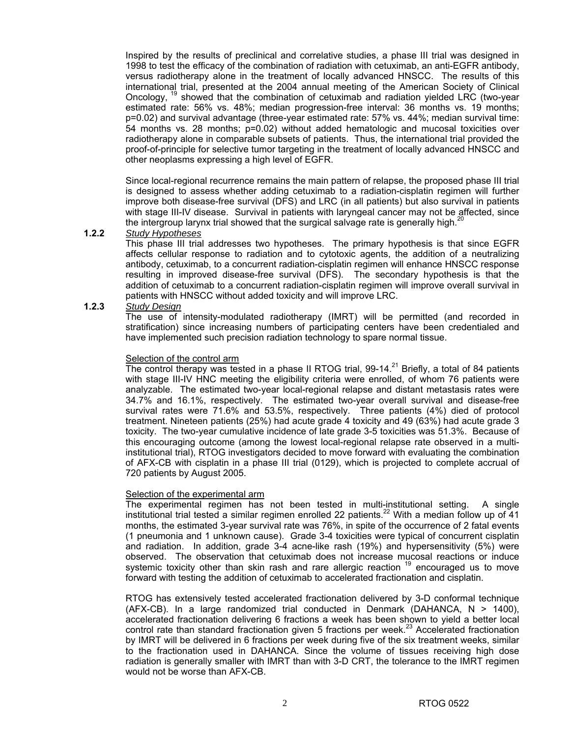Inspired by the results of preclinical and correlative studies, a phase III trial was designed in 1998 to test the efficacy of the combination of radiation with cetuximab, an anti-EGFR antibody, versus radiotherapy alone in the treatment of locally advanced HNSCC. The results of this international trial, presented at the 2004 annual meeting of the American Society of Clinical Oncology, <sup>19</sup> showed that the combination of cetuximab and radiation yielded LRC (two-year estimated rate: 56% vs. 48%; median progression-free interval: 36 months vs. 19 months; p=0.02) and survival advantage (three-year estimated rate: 57% vs. 44%; median survival time: 54 months vs. 28 months; p=0.02) without added hematologic and mucosal toxicities over radiotherapy alone in comparable subsets of patients. Thus, the international trial provided the proof-of-principle for selective tumor targeting in the treatment of locally advanced HNSCC and other neoplasms expressing a high level of EGFR.

Since local-regional recurrence remains the main pattern of relapse, the proposed phase III trial is designed to assess whether adding cetuximab to a radiation-cisplatin regimen will further improve both disease-free survival (DFS) and LRC (in all patients) but also survival in patients with stage III-IV disease. Survival in patients with laryngeal cancer may not be affected, since the intergroup larynx trial showed that the surgical salvage rate is generally high.<sup>20</sup>

**1.2.2** *Study Hypotheses*

This phase III trial addresses two hypotheses. The primary hypothesis is that since EGFR affects cellular response to radiation and to cytotoxic agents, the addition of a neutralizing antibody, cetuximab, to a concurrent radiation-cisplatin regimen will enhance HNSCC response resulting in improved disease-free survival (DFS). The secondary hypothesis is that the addition of cetuximab to a concurrent radiation-cisplatin regimen will improve overall survival in patients with HNSCC without added toxicity and will improve LRC.

**1.2.3** *Study Design*

The use of intensity-modulated radiotherapy (IMRT) will be permitted (and recorded in stratification) since increasing numbers of participating centers have been credentialed and have implemented such precision radiation technology to spare normal tissue.

#### Selection of the control arm

The control therapy was tested in a phase II RTOG trial, 99-14. $^{21}$  Briefly, a total of 84 patients with stage III-IV HNC meeting the eligibility criteria were enrolled, of whom 76 patients were analyzable. The estimated two-year local-regional relapse and distant metastasis rates were 34.7% and 16.1%, respectively. The estimated two-year overall survival and disease-free survival rates were 71.6% and 53.5%, respectively. Three patients (4%) died of protocol treatment. Nineteen patients (25%) had acute grade 4 toxicity and 49 (63%) had acute grade 3 toxicity. The two-year cumulative incidence of late grade 3-5 toxicities was 51.3%. Because of this encouraging outcome (among the lowest local-regional relapse rate observed in a multiinstitutional trial), RTOG investigators decided to move forward with evaluating the combination of AFX-CB with cisplatin in a phase III trial (0129), which is projected to complete accrual of 720 patients by August 2005.

#### Selection of the experimental arm

The experimental regimen has not been tested in multi-institutional setting. A single institutional trial tested a similar regimen enrolled 22 patients.<sup>22</sup> With a median follow up of 41 months, the estimated 3-year survival rate was 76%, in spite of the occurrence of 2 fatal events (1 pneumonia and 1 unknown cause). Grade 3-4 toxicities were typical of concurrent cisplatin and radiation. In addition, grade 3-4 acne-like rash (19%) and hypersensitivity (5%) were observed. The observation that cetuximab does not increase mucosal reactions or induce systemic toxicity other than skin rash and rare allergic reaction  $19$  encouraged us to move forward with testing the addition of cetuximab to accelerated fractionation and cisplatin.

RTOG has extensively tested accelerated fractionation delivered by 3-D conformal technique (AFX-CB). In a large randomized trial conducted in Denmark (DAHANCA, N > 1400), accelerated fractionation delivering 6 fractions a week has been shown to yield a better local control rate than standard fractionation given 5 fractions per week.<sup>23</sup> Accelerated fractionation control by IMRT will be delivered in 6 fractions per week during five of the six treatment weeks, similar to the fractionation used in DAHANCA. Since the volume of tissues receiving high dose radiation is generally smaller with IMRT than with 3-D CRT, the tolerance to the IMRT regimen would not be worse than AFX-CB.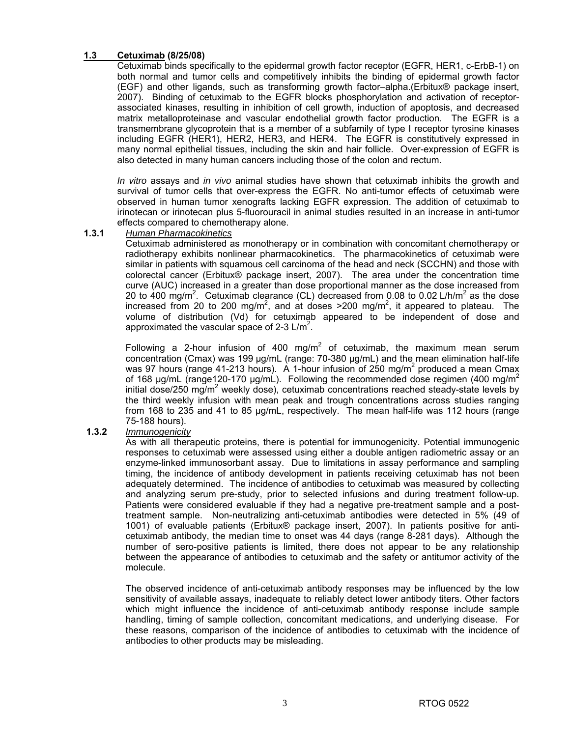### **1.3 Cetuximab (8/25/08)**

 Cetuximab binds specifically to the epidermal growth factor receptor (EGFR, HER1, c-ErbB-1) on both normal and tumor cells and competitively inhibits the binding of epidermal growth factor (EGF) and other ligands, such as transforming growth factor–alpha.(Erbitux® package insert, 2007). Binding of cetuximab to the EGFR blocks phosphorylation and activation of receptorassociated kinases, resulting in inhibition of cell growth, induction of apoptosis, and decreased matrix metalloproteinase and vascular endothelial growth factor production. The EGFR is a transmembrane glycoprotein that is a member of a subfamily of type I receptor tyrosine kinases including EGFR (HER1), HER2, HER3, and HER4. The EGFR is constitutively expressed in many normal epithelial tissues, including the skin and hair follicle. Over-expression of EGFR is also detected in many human cancers including those of the colon and rectum.

 *In vitro* assays and *in vivo* animal studies have shown that cetuximab inhibits the growth and survival of tumor cells that over-express the EGFR. No anti-tumor effects of cetuximab were observed in human tumor xenografts lacking EGFR expression. The addition of cetuximab to irinotecan or irinotecan plus 5-fluorouracil in animal studies resulted in an increase in anti-tumor effects compared to chemotherapy alone.

**1.3.1** *Human Pharmacokinetics*

 Cetuximab administered as monotherapy or in combination with concomitant chemotherapy or radiotherapy exhibits nonlinear pharmacokinetics. The pharmacokinetics of cetuximab were similar in patients with squamous cell carcinoma of the head and neck (SCCHN) and those with colorectal cancer (Erbitux® package insert, 2007). The area under the concentration time curve (AUC) increased in a greater than dose proportional manner as the dose increased from 20 to 400 mg/m<sup>2</sup>. Cetuximab clearance (CL) decreased from 0.08 to 0.02 L/h/m<sup>2</sup> as the dose increased from 20 to 200 mg/m<sup>2</sup>, and at doses >200 mg/m<sup>2</sup>, it appeared to plateau. The volume of distribution (Vd) for cetuximab appeared to be independent of dose and approximated the vascular space of 2-3  $L/m^2$ .

Following a 2-hour infusion of 400 mg/m<sup>2</sup> of cetuximab, the maximum mean serum concentration (Cmax) was 199 μg/mL (range: 70-380 μg/mL) and the mean elimination half-life was 97 hours (range 41-213 hours). A 1-hour infusion of 250 mg/m<sup>2</sup> produced a mean Cmax of 168 μg/mL (range120-170 μg/mL). Following the recommended dose regimen (400 mg/m<sup>2</sup> initial dose/250 mg/m<sup>2</sup> weekly dose), cetuximab concentrations reached steady-state levels by the third weekly infusion with mean peak and trough concentrations across studies ranging from 168 to 235 and 41 to 85 μg/mL, respectively. The mean half-life was 112 hours (range 75-188 hours).

#### **1.3.2** *Immunogenicity*

 As with all therapeutic proteins, there is potential for immunogenicity. Potential immunogenic responses to cetuximab were assessed using either a double antigen radiometric assay or an enzyme-linked immunosorbant assay. Due to limitations in assay performance and sampling timing, the incidence of antibody development in patients receiving cetuximab has not been adequately determined. The incidence of antibodies to cetuximab was measured by collecting and analyzing serum pre-study, prior to selected infusions and during treatment follow-up. Patients were considered evaluable if they had a negative pre-treatment sample and a posttreatment sample. Non-neutralizing anti-cetuximab antibodies were detected in 5% (49 of 1001) of evaluable patients (Erbitux® package insert, 2007). In patients positive for anticetuximab antibody, the median time to onset was 44 days (range 8-281 days). Although the number of sero-positive patients is limited, there does not appear to be any relationship between the appearance of antibodies to cetuximab and the safety or antitumor activity of the molecule.

 The observed incidence of anti-cetuximab antibody responses may be influenced by the low sensitivity of available assays, inadequate to reliably detect lower antibody titers. Other factors which might influence the incidence of anti-cetuximab antibody response include sample handling, timing of sample collection, concomitant medications, and underlying disease. For these reasons, comparison of the incidence of antibodies to cetuximab with the incidence of antibodies to other products may be misleading.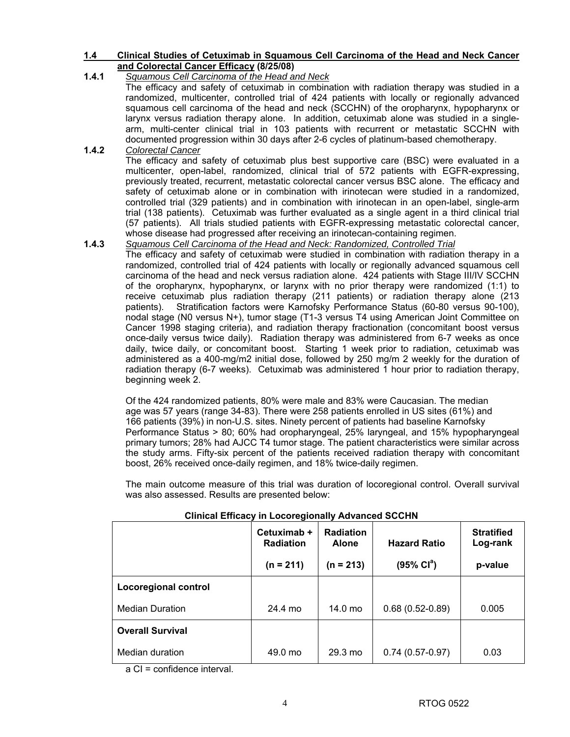#### **1.4 Clinical Studies of Cetuximab in Squamous Cell Carcinoma of the Head and Neck Cancer and Colorectal Cancer Efficacy (8/25/08)**

### **1.4.1** *Squamous Cell Carcinoma of the Head and Neck*

 The efficacy and safety of cetuximab in combination with radiation therapy was studied in a randomized, multicenter, controlled trial of 424 patients with locally or regionally advanced squamous cell carcinoma of the head and neck (SCCHN) of the oropharynx, hypopharynx or larynx versus radiation therapy alone. In addition, cetuximab alone was studied in a singlearm, multi-center clinical trial in 103 patients with recurrent or metastatic SCCHN with documented progression within 30 days after 2-6 cycles of platinum-based chemotherapy.

#### **1.4.2** *Colorectal Cancer*

 The efficacy and safety of cetuximab plus best supportive care (BSC) were evaluated in a multicenter, open-label, randomized, clinical trial of 572 patients with EGFR-expressing, previously treated, recurrent, metastatic colorectal cancer versus BSC alone. The efficacy and safety of cetuximab alone or in combination with irinotecan were studied in a randomized, controlled trial (329 patients) and in combination with irinotecan in an open-label, single-arm trial (138 patients). Cetuximab was further evaluated as a single agent in a third clinical trial (57 patients). All trials studied patients with EGFR-expressing metastatic colorectal cancer, whose disease had progressed after receiving an irinotecan-containing regimen.

**1.4.3** *Squamous Cell Carcinoma of the Head and Neck: Randomized, Controlled Trial*

 The efficacy and safety of cetuximab were studied in combination with radiation therapy in a randomized, controlled trial of 424 patients with locally or regionally advanced squamous cell carcinoma of the head and neck versus radiation alone. 424 patients with Stage III/IV SCCHN of the oropharynx, hypopharynx, or larynx with no prior therapy were randomized (1:1) to receive cetuximab plus radiation therapy (211 patients) or radiation therapy alone (213 patients). Stratification factors were Karnofsky Performance Status (60-80 versus 90-100), nodal stage (N0 versus N+), tumor stage (T1-3 versus T4 using American Joint Committee on Cancer 1998 staging criteria), and radiation therapy fractionation (concomitant boost versus once-daily versus twice daily). Radiation therapy was administered from 6-7 weeks as once daily, twice daily, or concomitant boost. Starting 1 week prior to radiation, cetuximab was administered as a 400-mg/m2 initial dose, followed by 250 mg/m 2 weekly for the duration of radiation therapy (6-7 weeks). Cetuximab was administered 1 hour prior to radiation therapy, beginning week 2.

 Of the 424 randomized patients, 80% were male and 83% were Caucasian. The median age was 57 years (range 34-83). There were 258 patients enrolled in US sites (61%) and 166 patients (39%) in non-U.S. sites. Ninety percent of patients had baseline Karnofsky Performance Status > 80; 60% had oropharyngeal, 25% laryngeal, and 15% hypopharyngeal primary tumors; 28% had AJCC T4 tumor stage. The patient characteristics were similar across the study arms. Fifty-six percent of the patients received radiation therapy with concomitant boost, 26% received once-daily regimen, and 18% twice-daily regimen.

 The main outcome measure of this trial was duration of locoregional control. Overall survival was also assessed. Results are presented below:

|                             | Cetuximab +<br><b>Radiation</b><br>$(n = 211)$ | Radiation<br><b>Alone</b><br>$(n = 213)$ | <b>Hazard Ratio</b><br>$(95\% \text{ Cl}^a)$ | <b>Stratified</b><br>Log-rank<br>p-value |
|-----------------------------|------------------------------------------------|------------------------------------------|----------------------------------------------|------------------------------------------|
| <b>Locoregional control</b> |                                                |                                          |                                              |                                          |
| <b>Median Duration</b>      | 24.4 mo                                        | 14.0 mo                                  | $0.68(0.52-0.89)$                            | 0.005                                    |
| <b>Overall Survival</b>     |                                                |                                          |                                              |                                          |
| Median duration             | 49.0 mo                                        | $29.3 \text{ mo}$                        | $0.74(0.57-0.97)$                            | 0.03                                     |

#### **Clinical Efficacy in Locoregionally Advanced SCCHN**

a CI = confidence interval.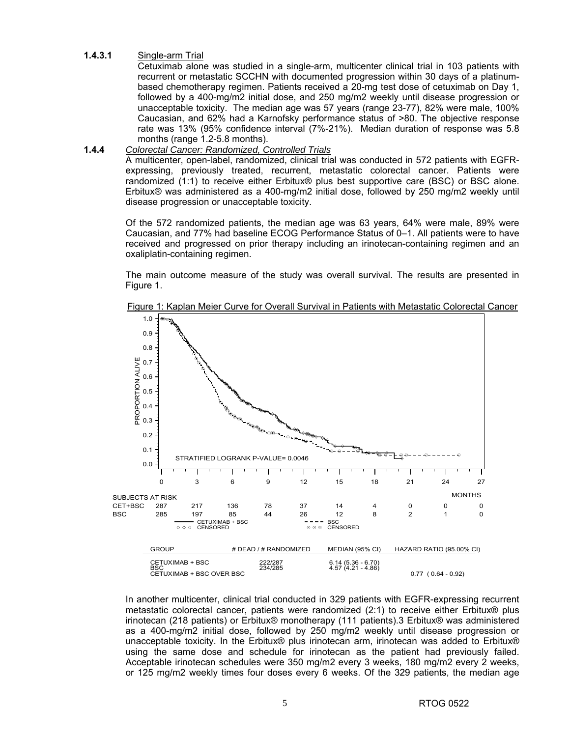#### **1.4.3.1** Single-arm Trial

 Cetuximab alone was studied in a single-arm, multicenter clinical trial in 103 patients with recurrent or metastatic SCCHN with documented progression within 30 days of a platinumbased chemotherapy regimen. Patients received a 20-mg test dose of cetuximab on Day 1, followed by a 400-mg/m2 initial dose, and 250 mg/m2 weekly until disease progression or unacceptable toxicity. The median age was 57 years (range 23-77), 82% were male, 100% Caucasian, and 62% had a Karnofsky performance status of >80. The objective response rate was 13% (95% confidence interval (7%-21%). Median duration of response was 5.8 months (range 1.2-5.8 months).

#### **1.4.4** *Colorectal Cancer: Randomized, Controlled Trials*

 A multicenter, open-label, randomized, clinical trial was conducted in 572 patients with EGFRexpressing, previously treated, recurrent, metastatic colorectal cancer. Patients were randomized (1:1) to receive either Erbitux® plus best supportive care (BSC) or BSC alone. Erbitux® was administered as a 400-mg/m2 initial dose, followed by 250 mg/m2 weekly until disease progression or unacceptable toxicity.

 Of the 572 randomized patients, the median age was 63 years, 64% were male, 89% were Caucasian, and 77% had baseline ECOG Performance Status of 0–1. All patients were to have received and progressed on prior therapy including an irinotecan-containing regimen and an oxaliplatin-containing regimen.

 The main outcome measure of the study was overall survival. The results are presented in Figure 1.



Figure 1: Kaplan Meier Curve for Overall Survival in Patients with Metastatic Colorectal Cancer

 In another multicenter, clinical trial conducted in 329 patients with EGFR-expressing recurrent metastatic colorectal cancer, patients were randomized (2:1) to receive either Erbitux® plus irinotecan (218 patients) or Erbitux® monotherapy (111 patients).3 Erbitux® was administered as a 400-mg/m2 initial dose, followed by 250 mg/m2 weekly until disease progression or unacceptable toxicity. In the Erbitux® plus irinotecan arm, irinotecan was added to Erbitux® using the same dose and schedule for irinotecan as the patient had previously failed. Acceptable irinotecan schedules were 350 mg/m2 every 3 weeks, 180 mg/m2 every 2 weeks, or 125 mg/m2 weekly times four doses every 6 weeks. Of the 329 patients, the median age

BSC 234/285 4.57 (4.21 - 4.86) CETUXIMAB + BSC OVER BSC 0.77 ( 0.64 - 0.92)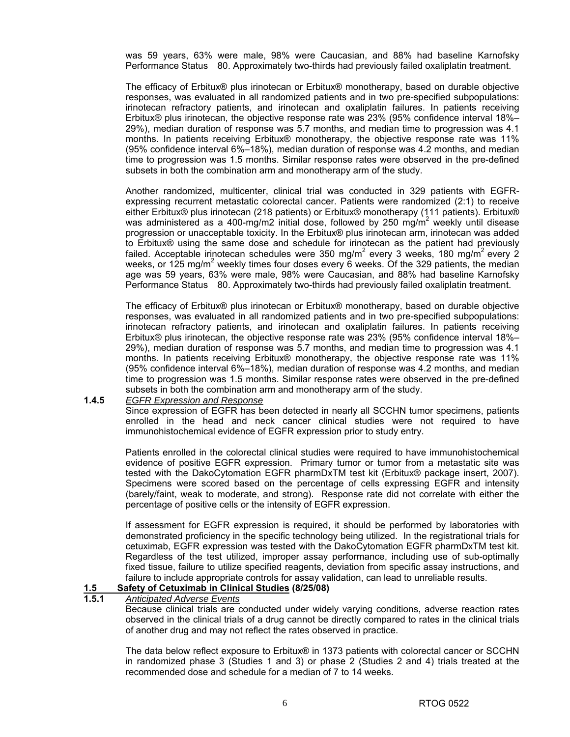was 59 years, 63% were male, 98% were Caucasian, and 88% had baseline Karnofsky Performance Status 80. Approximately two-thirds had previously failed oxaliplatin treatment.

 The efficacy of Erbitux® plus irinotecan or Erbitux® monotherapy, based on durable objective responses, was evaluated in all randomized patients and in two pre-specified subpopulations: irinotecan refractory patients, and irinotecan and oxaliplatin failures. In patients receiving Erbitux® plus irinotecan, the objective response rate was 23% (95% confidence interval 18%– 29%), median duration of response was 5.7 months, and median time to progression was 4.1 months. In patients receiving Erbitux® monotherapy, the objective response rate was 11% (95% confidence interval 6%–18%), median duration of response was 4.2 months, and median time to progression was 1.5 months. Similar response rates were observed in the pre-defined subsets in both the combination arm and monotherapy arm of the study.

 Another randomized, multicenter, clinical trial was conducted in 329 patients with EGFRexpressing recurrent metastatic colorectal cancer. Patients were randomized (2:1) to receive either Erbitux® plus irinotecan (218 patients) or Erbitux® monotherapy (111 patients). Erbitux® was administered as a 400-mg/m2 initial dose, followed by 250 mg/m<sup>2</sup> weekly until disease progression or unacceptable toxicity. In the Erbitux® plus irinotecan arm, irinotecan was added to Erbitux® using the same dose and schedule for irinotecan as the patient had previously failed. Acceptable irinotecan schedules were 350 mg/m<sup>2</sup> every 3 weeks, 180 mg/m<sup>2</sup> every 2 weeks, or 125 mg/m<sup>2</sup> weekly times four doses every  $\tilde{6}$  weeks. Of the 329 patients, the median age was 59 years, 63% were male, 98% were Caucasian, and 88% had baseline Karnofsky Performance Status 80. Approximately two-thirds had previously failed oxaliplatin treatment.

 The efficacy of Erbitux® plus irinotecan or Erbitux® monotherapy, based on durable objective responses, was evaluated in all randomized patients and in two pre-specified subpopulations: irinotecan refractory patients, and irinotecan and oxaliplatin failures. In patients receiving Erbitux® plus irinotecan, the objective response rate was 23% (95% confidence interval 18%– 29%), median duration of response was 5.7 months, and median time to progression was 4.1 months. In patients receiving Erbitux® monotherapy, the objective response rate was 11% (95% confidence interval 6%–18%), median duration of response was 4.2 months, and median time to progression was 1.5 months. Similar response rates were observed in the pre-defined subsets in both the combination arm and monotherapy arm of the study.

#### **1.4.5** *EGFR Expression and Response*

 Since expression of EGFR has been detected in nearly all SCCHN tumor specimens, patients enrolled in the head and neck cancer clinical studies were not required to have immunohistochemical evidence of EGFR expression prior to study entry.

Patients enrolled in the colorectal clinical studies were required to have immunohistochemical evidence of positive EGFR expression. Primary tumor or tumor from a metastatic site was tested with the DakoCytomation EGFR pharmDxTM test kit (Erbitux® package insert, 2007). Specimens were scored based on the percentage of cells expressing EGFR and intensity (barely/faint, weak to moderate, and strong). Response rate did not correlate with either the percentage of positive cells or the intensity of EGFR expression.

 If assessment for EGFR expression is required, it should be performed by laboratories with demonstrated proficiency in the specific technology being utilized. In the registrational trials for cetuximab, EGFR expression was tested with the DakoCytomation EGFR pharmDxTM test kit. Regardless of the test utilized, improper assay performance, including use of sub-optimally fixed tissue, failure to utilize specified reagents, deviation from specific assay instructions, and failure to include appropriate controls for assay validation, can lead to unreliable results.

# **1.5 Safety of Cetuximab in Clinical Studies (8/25/08)**

#### **1.5.1** *Anticipated Adverse Events*

 Because clinical trials are conducted under widely varying conditions, adverse reaction rates observed in the clinical trials of a drug cannot be directly compared to rates in the clinical trials of another drug and may not reflect the rates observed in practice.

 The data below reflect exposure to Erbitux® in 1373 patients with colorectal cancer or SCCHN in randomized phase 3 (Studies 1 and 3) or phase 2 (Studies 2 and 4) trials treated at the recommended dose and schedule for a median of 7 to 14 weeks.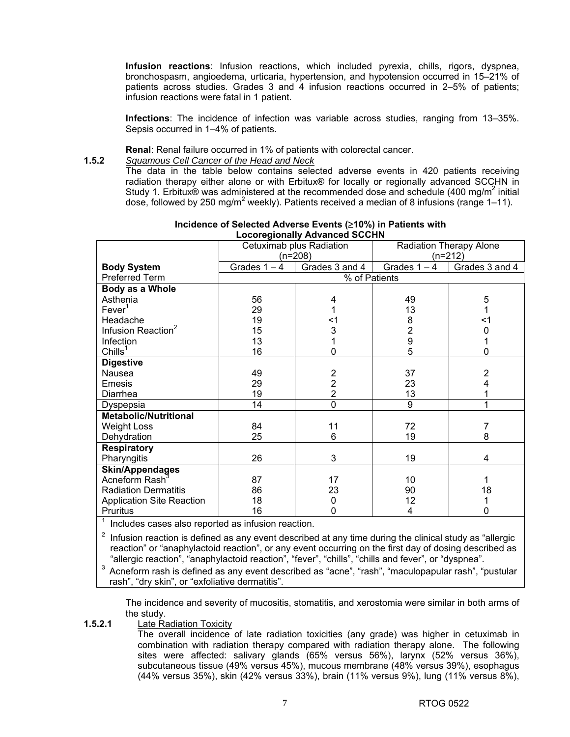**Infusion reactions**: Infusion reactions, which included pyrexia, chills, rigors, dyspnea, bronchospasm, angioedema, urticaria, hypertension, and hypotension occurred in 15–21% of patients across studies. Grades 3 and 4 infusion reactions occurred in 2–5% of patients; infusion reactions were fatal in 1 patient.

**Infections**: The incidence of infection was variable across studies, ranging from 13–35%. Sepsis occurred in 1–4% of patients.

 **Renal**: Renal failure occurred in 1% of patients with colorectal cancer.

#### **1.5.2** *Squamous Cell Cancer of the Head and Neck*

 The data in the table below contains selected adverse events in 420 patients receiving radiation therapy either alone or with Erbitux® for locally or regionally advanced SCCHN in Study 1. Erbitux<sup>®</sup> was administered at the recommended dose and schedule (400 mg/m<sup>2</sup> initial dose, followed by 250 mg/m<sup>2</sup> weekly). Patients received a median of 8 infusions (range 1–11).

|                                  |                | Cetuximab plus Radiation | Radiation Therapy Alone |                |
|----------------------------------|----------------|--------------------------|-------------------------|----------------|
|                                  |                | $(n=208)$                | $(n=212)$               |                |
| <b>Body System</b>               | Grades $1 - 4$ | Grades 3 and 4           | Grades $1 - 4$          | Grades 3 and 4 |
| <b>Preferred Term</b>            |                | % of Patients            |                         |                |
| Body as a Whole                  |                |                          |                         |                |
| Asthenia                         | 56             | 4                        | 49                      | 5              |
| Fever <sup>1</sup>               | 29             |                          | 13                      |                |
| Headache                         | 19             | $<$ 1                    | 8                       | <1             |
| Infusion Reaction <sup>2</sup>   | 15             | 3                        | $\overline{\mathbf{c}}$ | 0              |
| Infection                        | 13             |                          | $\mathbf{9}$            |                |
| Chills <sup>1</sup>              | 16             | 0                        | 5                       | 0              |
| <b>Digestive</b>                 |                |                          |                         |                |
| Nausea                           | 49             | 2                        | 37                      | 2              |
| Emesis                           | 29             | 2                        | 23                      | 4              |
| Diarrhea                         | 19             | $\overline{2}$           | 13                      |                |
| Dyspepsia                        | 14             | $\mathbf 0$              | 9                       |                |
| <b>Metabolic/Nutritional</b>     |                |                          |                         |                |
| <b>Weight Loss</b>               | 84             | 11                       | 72                      | 7              |
| Dehydration                      | 25             | 6                        | 19                      | 8              |
| <b>Respiratory</b>               |                |                          |                         |                |
| Pharyngitis                      | 26             | 3                        | 19                      | 4              |
| <b>Skin/Appendages</b>           |                |                          |                         |                |
| Acneform Rash <sup>3</sup>       | 87             | 17                       | 10                      |                |
| <b>Radiation Dermatitis</b>      | 86             | 23                       | 90                      | 18             |
| <b>Application Site Reaction</b> | 18             | 0                        | 12                      |                |
| Pruritus                         | 16             | 0                        | 4                       | 0              |

#### **Incidence of Selected Adverse Events (**≥**10%) in Patients with Locoregionally Advanced SCCHN**

 $1$  Includes cases also reported as infusion reaction.

 $2$  Infusion reaction is defined as any event described at any time during the clinical study as "allergic reaction" or "anaphylactoid reaction", or any event occurring on the first day of dosing described as "allergic reaction", "anaphylactoid reaction", "fever", "chills", "chills and fever", or "dyspnea".

<sup>3</sup> Acneform rash is defined as any event described as "acne", "rash", "maculopapular rash", "pustular rash", "dry skin", or "exfoliative dermatitis".

 The incidence and severity of mucositis, stomatitis, and xerostomia were similar in both arms of the study.

#### **1.5.2.1** Late Radiation Toxicity

 The overall incidence of late radiation toxicities (any grade) was higher in cetuximab in combination with radiation therapy compared with radiation therapy alone. The following sites were affected: salivary glands (65% versus 56%), larynx (52% versus 36%), subcutaneous tissue (49% versus 45%), mucous membrane (48% versus 39%), esophagus (44% versus 35%), skin (42% versus 33%), brain (11% versus 9%), lung (11% versus 8%),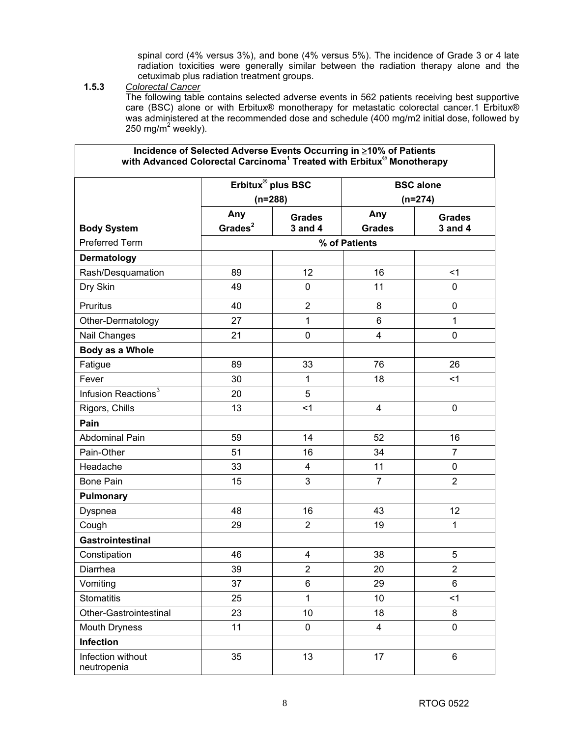spinal cord (4% versus 3%), and bone (4% versus 5%). The incidence of Grade 3 or 4 late radiation toxicities were generally similar between the radiation therapy alone and the cetuximab plus radiation treatment groups.

#### **1.5.3** *Colorectal Cancer*

Г

 The following table contains selected adverse events in 562 patients receiving best supportive care (BSC) alone or with Erbitux® monotherapy for metastatic colorectal cancer.1 Erbitux® was administered at the recommended dose and schedule (400 mg/m2 initial dose, followed by 250 mg/m $^2$  weekly).

| Incidence of Selected Adverse Events Occurring in ≥10% of Patients<br>with Advanced Colorectal Carcinoma <sup>1</sup> Treated with Erbitux <sup>®</sup> Monotherapy |                   |                               |                      |                              |  |
|---------------------------------------------------------------------------------------------------------------------------------------------------------------------|-------------------|-------------------------------|----------------------|------------------------------|--|
|                                                                                                                                                                     |                   | Erbitux <sup>®</sup> plus BSC |                      | <b>BSC</b> alone             |  |
|                                                                                                                                                                     |                   | $(n=288)$                     |                      | $(n=274)$                    |  |
| <b>Body System</b>                                                                                                                                                  | Any<br>Grades $2$ | <b>Grades</b><br>3 and 4      | Any<br><b>Grades</b> | <b>Grades</b><br>$3$ and $4$ |  |
| <b>Preferred Term</b>                                                                                                                                               |                   |                               | % of Patients        |                              |  |
| Dermatology                                                                                                                                                         |                   |                               |                      |                              |  |
| Rash/Desquamation                                                                                                                                                   | 89                | 12                            | 16                   | <1                           |  |
| Dry Skin                                                                                                                                                            | 49                | $\mathbf 0$                   | 11                   | 0                            |  |
| Pruritus                                                                                                                                                            | 40                | $\overline{2}$                | 8                    | $\mathbf 0$                  |  |
| Other-Dermatology                                                                                                                                                   | 27                | 1                             | 6                    | $\mathbf{1}$                 |  |
| Nail Changes                                                                                                                                                        | 21                | $\mathbf 0$                   | 4                    | 0                            |  |
| Body as a Whole                                                                                                                                                     |                   |                               |                      |                              |  |
| Fatigue                                                                                                                                                             | 89                | 33                            | 76                   | 26                           |  |
| Fever                                                                                                                                                               | 30                | 1                             | 18                   | $<$ 1                        |  |
| Infusion Reactions <sup>3</sup>                                                                                                                                     | 20                | 5                             |                      |                              |  |
| Rigors, Chills                                                                                                                                                      | 13                | $<$ 1                         | 4                    | $\mathbf 0$                  |  |
| Pain                                                                                                                                                                |                   |                               |                      |                              |  |
| <b>Abdominal Pain</b>                                                                                                                                               | 59                | 14                            | 52                   | 16                           |  |
| Pain-Other                                                                                                                                                          | 51                | 16                            | 34                   | $\overline{7}$               |  |
| Headache                                                                                                                                                            | 33                | $\overline{4}$                | 11                   | $\mathbf 0$                  |  |
| <b>Bone Pain</b>                                                                                                                                                    | 15                | 3                             | $\overline{7}$       | $\overline{2}$               |  |
| <b>Pulmonary</b>                                                                                                                                                    |                   |                               |                      |                              |  |
| Dyspnea                                                                                                                                                             | 48                | 16                            | 43                   | 12 <sup>2</sup>              |  |
| Cough                                                                                                                                                               | 29                | $\overline{2}$                | 19                   | 1                            |  |
| <b>Gastrointestinal</b>                                                                                                                                             |                   |                               |                      |                              |  |
| Constipation                                                                                                                                                        | 46                | 4                             | 38                   | 5                            |  |
| Diarrhea                                                                                                                                                            | 39                | $\overline{2}$                | 20                   | $\overline{2}$               |  |
| Vomiting                                                                                                                                                            | 37                | $6\phantom{a}$                | 29                   | $6\phantom{1}$               |  |
| <b>Stomatitis</b>                                                                                                                                                   | 25                | 1                             | 10                   | < 1                          |  |
| Other-Gastrointestinal                                                                                                                                              | 23                | 10                            | 18                   | 8                            |  |
| Mouth Dryness                                                                                                                                                       | 11                | $\mathbf 0$                   | $\overline{4}$       | $\mathbf 0$                  |  |
| Infection                                                                                                                                                           |                   |                               |                      |                              |  |
| Infection without<br>neutropenia                                                                                                                                    | 35                | 13                            | 17                   | 6                            |  |

 $\overline{\phantom{0}}$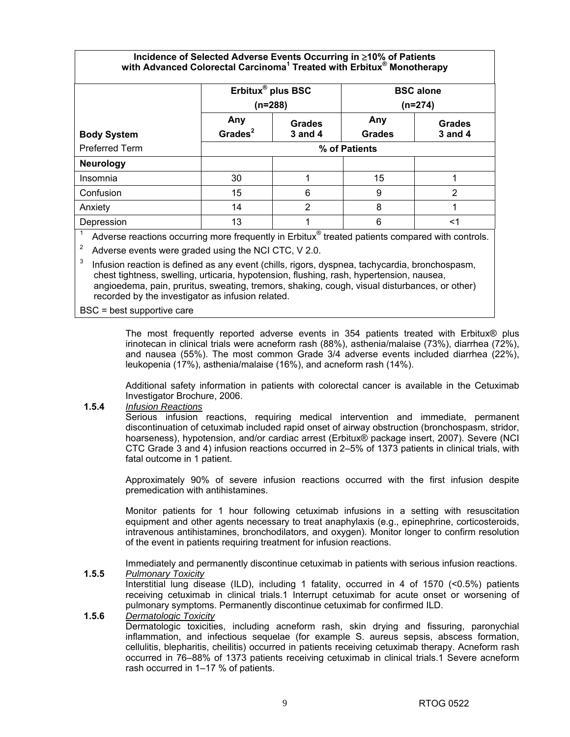| Incidence of Selected Adverse Events Occurring in ≥10% of Patients<br>with Advanced Colorectal Carcinoma <sup>1</sup> Treated with Erbitux <sup>®</sup> Monotherapy |                               |                |               |                  |
|---------------------------------------------------------------------------------------------------------------------------------------------------------------------|-------------------------------|----------------|---------------|------------------|
|                                                                                                                                                                     | Erbitux <sup>®</sup> plus BSC |                |               | <b>BSC</b> alone |
|                                                                                                                                                                     | $(n=288)$                     |                |               | $(n=274)$        |
|                                                                                                                                                                     | Any                           | <b>Grades</b>  | Any           | <b>Grades</b>    |
| <b>Body System</b>                                                                                                                                                  | Grades $2$                    | 3 and 4        | <b>Grades</b> | 3 and 4          |
| <b>Preferred Term</b>                                                                                                                                               | % of Patients                 |                |               |                  |
| <b>Neurology</b>                                                                                                                                                    |                               |                |               |                  |
| Insomnia                                                                                                                                                            | 30                            |                | 15            | 1                |
| Confusion                                                                                                                                                           | 15                            | 6              | 9             | $\overline{2}$   |
| Anxiety                                                                                                                                                             | 14                            | $\overline{2}$ | 8             |                  |
| Depression                                                                                                                                                          | 13                            |                | 6             | $<$ 1            |
| Adverse reactions occurring more frequently in Erbitux <sup>®</sup> treated patients compared with controls.                                                        |                               |                |               |                  |
| 2<br>Adverse events were graded using the NCI CTC, V 2.0.                                                                                                           |                               |                |               |                  |
| 3<br>Infusion reaction is defined as any event (chills, riggre dysames, tachycardia, hronchospasm)                                                                  |                               |                |               |                  |

Infusion reaction is defined as any event (chills, rigors, dyspnea, tachycardia, bronchospasm, chest tightness, swelling, urticaria, hypotension, flushing, rash, hypertension, nausea, angioedema, pain, pruritus, sweating, tremors, shaking, cough, visual disturbances, or other) recorded by the investigator as infusion related.

BSC = best supportive care

 The most frequently reported adverse events in 354 patients treated with Erbitux® plus irinotecan in clinical trials were acneform rash (88%), asthenia/malaise (73%), diarrhea (72%), and nausea (55%). The most common Grade 3/4 adverse events included diarrhea (22%), leukopenia (17%), asthenia/malaise (16%), and acneform rash (14%).

 Additional safety information in patients with colorectal cancer is available in the Cetuximab Investigator Brochure, 2006.

## **1.5.4** *Infusion Reactions*

 Serious infusion reactions, requiring medical intervention and immediate, permanent discontinuation of cetuximab included rapid onset of airway obstruction (bronchospasm, stridor, hoarseness), hypotension, and/or cardiac arrest (Erbitux® package insert, 2007). Severe (NCI CTC Grade 3 and 4) infusion reactions occurred in 2–5% of 1373 patients in clinical trials, with fatal outcome in 1 patient.

 Approximately 90% of severe infusion reactions occurred with the first infusion despite premedication with antihistamines.

 Monitor patients for 1 hour following cetuximab infusions in a setting with resuscitation equipment and other agents necessary to treat anaphylaxis (e.g., epinephrine, corticosteroids, intravenous antihistamines, bronchodilators, and oxygen). Monitor longer to confirm resolution of the event in patients requiring treatment for infusion reactions.

Immediately and permanently discontinue cetuximab in patients with serious infusion reactions.<br>1.5.5 Pulmonary Toxicity

**1.5.5** *Pulmonary Toxicity*

 Interstitial lung disease (ILD), including 1 fatality, occurred in 4 of 1570 (<0.5%) patients receiving cetuximab in clinical trials.1 Interrupt cetuximab for acute onset or worsening of pulmonary symptoms. Permanently discontinue cetuximab for confirmed ILD.

## **1.5.6** *Dermatologic Toxicity*

 Dermatologic toxicities, including acneform rash, skin drying and fissuring, paronychial inflammation, and infectious sequelae (for example S. aureus sepsis, abscess formation, cellulitis, blepharitis, cheilitis) occurred in patients receiving cetuximab therapy. Acneform rash occurred in 76–88% of 1373 patients receiving cetuximab in clinical trials.1 Severe acneform rash occurred in 1–17 % of patients.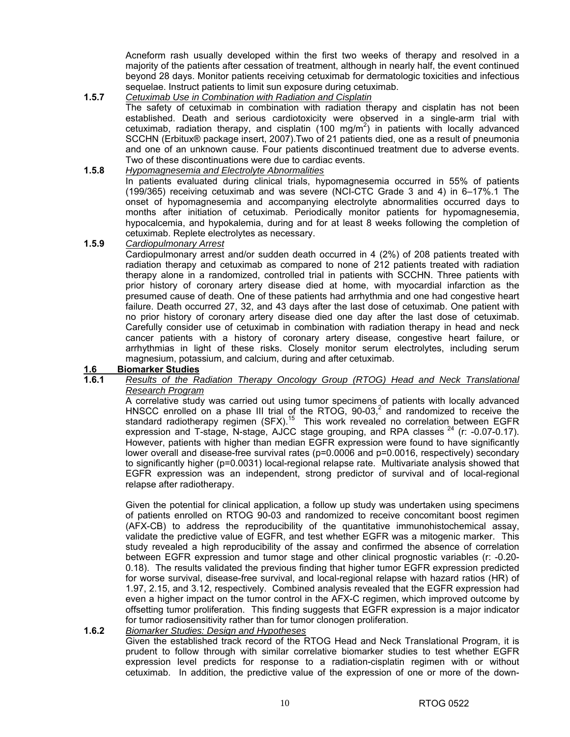Acneform rash usually developed within the first two weeks of therapy and resolved in a majority of the patients after cessation of treatment, although in nearly half, the event continued beyond 28 days. Monitor patients receiving cetuximab for dermatologic toxicities and infectious sequelae. Instruct patients to limit sun exposure during cetuximab.

**1.5.7** *Cetuximab Use in Combination with Radiation and Cisplatin*

 The safety of cetuximab in combination with radiation therapy and cisplatin has not been established. Death and serious cardiotoxicity were observed in a single-arm trial with cetuximab, radiation therapy, and cisplatin (100 mg/m<sup>2</sup>) in patients with locally advanced SCCHN (Erbitux® package insert, 2007).Two of 21 patients died, one as a result of pneumonia and one of an unknown cause. Four patients discontinued treatment due to adverse events. Two of these discontinuations were due to cardiac events.

**1.5.8** *Hypomagnesemia and Electrolyte Abnormalities*

 In patients evaluated during clinical trials, hypomagnesemia occurred in 55% of patients (199/365) receiving cetuximab and was severe (NCI-CTC Grade 3 and 4) in 6–17%.1 The onset of hypomagnesemia and accompanying electrolyte abnormalities occurred days to months after initiation of cetuximab. Periodically monitor patients for hypomagnesemia, hypocalcemia, and hypokalemia, during and for at least 8 weeks following the completion of cetuximab. Replete electrolytes as necessary.

#### **1.5.9** *Cardiopulmonary Arrest*

 Cardiopulmonary arrest and/or sudden death occurred in 4 (2%) of 208 patients treated with radiation therapy and cetuximab as compared to none of 212 patients treated with radiation therapy alone in a randomized, controlled trial in patients with SCCHN. Three patients with prior history of coronary artery disease died at home, with myocardial infarction as the presumed cause of death. One of these patients had arrhythmia and one had congestive heart failure. Death occurred 27, 32, and 43 days after the last dose of cetuximab. One patient with no prior history of coronary artery disease died one day after the last dose of cetuximab. Carefully consider use of cetuximab in combination with radiation therapy in head and neck cancer patients with a history of coronary artery disease, congestive heart failure, or arrhythmias in light of these risks. Closely monitor serum electrolytes, including serum magnesium, potassium, and calcium, during and after cetuximab.

## **1.6 Biomarker Studies**

#### **1.6.1** *Results of the Radiation Therapy Oncology Group (RTOG) Head and Neck Translational Research Program*

A correlative study was carried out using tumor specimens of patients with locally advanced HNSCC enrolled on a phase III trial of the RTOG,  $90-03$ , and randomized to receive the standard radiotherapy regimen  $(SFX)$ .<sup>15</sup> This work revealed no correlation between EGFR expression and T-stage, N-stage, AJCC stage grouping, and RPA classes  $^{24}$  (r: -0.07-0.17). However, patients with higher than median EGFR expression were found to have significantly lower overall and disease-free survival rates (p=0.0006 and p=0.0016, respectively) secondary to significantly higher (p=0.0031) local-regional relapse rate. Multivariate analysis showed that EGFR expression was an independent, strong predictor of survival and of local-regional relapse after radiotherapy.

Given the potential for clinical application, a follow up study was undertaken using specimens of patients enrolled on RTOG 90-03 and randomized to receive concomitant boost regimen (AFX-CB) to address the reproducibility of the quantitative immunohistochemical assay, validate the predictive value of EGFR, and test whether EGFR was a mitogenic marker. This study revealed a high reproducibility of the assay and confirmed the absence of correlation between EGFR expression and tumor stage and other clinical prognostic variables (r: -0.20- 0.18). The results validated the previous finding that higher tumor EGFR expression predicted for worse survival, disease-free survival, and local-regional relapse with hazard ratios (HR) of 1.97, 2.15, and 3.12, respectively. Combined analysis revealed that the EGFR expression had even a higher impact on the tumor control in the AFX-C regimen, which improved outcome by offsetting tumor proliferation. This finding suggests that EGFR expression is a major indicator for tumor radiosensitivity rather than for tumor clonogen proliferation.

### **1.6.2** *Biomarker Studies: Design and Hypotheses*

Given the established track record of the RTOG Head and Neck Translational Program, it is prudent to follow through with similar correlative biomarker studies to test whether EGFR expression level predicts for response to a radiation-cisplatin regimen with or without cetuximab. In addition, the predictive value of the expression of one or more of the down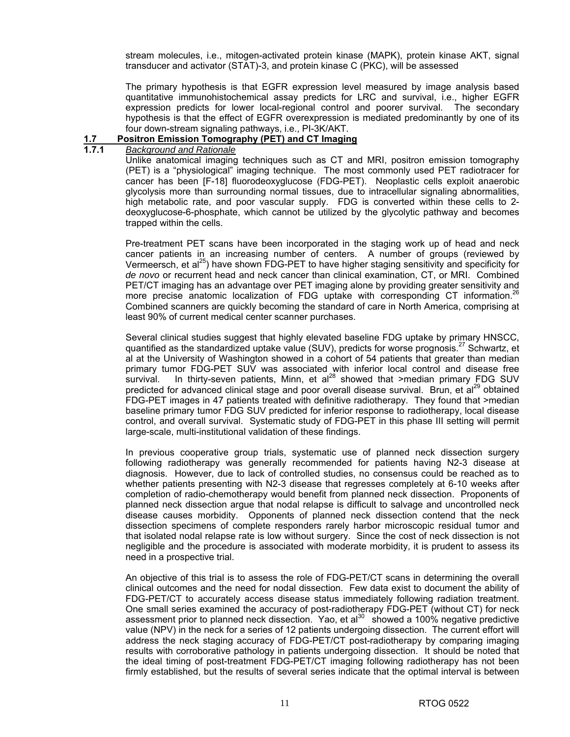stream molecules, i.e., mitogen-activated protein kinase (MAPK), protein kinase AKT, signal transducer and activator (STAT)-3, and protein kinase C (PKC), will be assessed

The primary hypothesis is that EGFR expression level measured by image analysis based quantitative immunohistochemical assay predicts for LRC and survival, i.e., higher EGFR expression predicts for lower local-regional control and poorer survival. The secondary hypothesis is that the effect of EGFR overexpression is mediated predominantly by one of its four down-stream signaling pathways, i.e., PI-3K/AKT.

## **1.7 Positron Emission Tomography (PET) and CT Imaging**

#### **1.7.1** *Background and Rationale*

Unlike anatomical imaging techniques such as CT and MRI, positron emission tomography (PET) is a "physiological" imaging technique. The most commonly used PET radiotracer for cancer has been [F-18] fluorodeoxyglucose (FDG-PET). Neoplastic cells exploit anaerobic glycolysis more than surrounding normal tissues, due to intracellular signaling abnormalities, high metabolic rate, and poor vascular supply. FDG is converted within these cells to 2 deoxyglucose-6-phosphate, which cannot be utilized by the glycolytic pathway and becomes trapped within the cells.

Pre-treatment PET scans have been incorporated in the staging work up of head and neck cancer patients in an increasing number of centers. A number of groups (reviewed by Vermeersch, et  $al^{25}$ ) have shown FDG-PET to have higher staging sensitivity and specificity for *de novo* or recurrent head and neck cancer than clinical examination, CT, or MRI. Combined PET/CT imaging has an advantage over PET imaging alone by providing greater sensitivity and more precise anatomic localization of FDG uptake with corresponding CT information.<sup>2</sup> Combined scanners are quickly becoming the standard of care in North America, comprising at least 90% of current medical center scanner purchases.

Several clinical studies suggest that highly elevated baseline FDG uptake by primary HNSCC, quantified as the standardized uptake value (SUV), predicts for worse prognosis.27 Schwartz, et al at the University of Washington showed in a cohort of 54 patients that greater than median primary tumor FDG-PET SUV was associated with inferior local control and disease free survival. In thirty-seven patients, Minn, et  $a^{28}$  showed that >median primary FDG SUV predicted for advanced clinical stage and poor overall disease survival. Brun, et al<sup>29</sup> obtained FDG-PET images in 47 patients treated with definitive radiotherapy. They found that >median baseline primary tumor FDG SUV predicted for inferior response to radiotherapy, local disease control, and overall survival. Systematic study of FDG-PET in this phase III setting will permit large-scale, multi-institutional validation of these findings.

In previous cooperative group trials, systematic use of planned neck dissection surgery following radiotherapy was generally recommended for patients having N2-3 disease at diagnosis. However, due to lack of controlled studies, no consensus could be reached as to whether patients presenting with N2-3 disease that regresses completely at 6-10 weeks after completion of radio-chemotherapy would benefit from planned neck dissection. Proponents of planned neck dissection argue that nodal relapse is difficult to salvage and uncontrolled neck disease causes morbidity. Opponents of planned neck dissection contend that the neck dissection specimens of complete responders rarely harbor microscopic residual tumor and that isolated nodal relapse rate is low without surgery. Since the cost of neck dissection is not negligible and the procedure is associated with moderate morbidity, it is prudent to assess its need in a prospective trial.

An objective of this trial is to assess the role of FDG-PET/CT scans in determining the overall clinical outcomes and the need for nodal dissection. Few data exist to document the ability of FDG-PET/CT to accurately access disease status immediately following radiation treatment. One small series examined the accuracy of post-radiotherapy FDG-PET (without CT) for neck assessment prior to planned neck dissection. Yao, et al<sup>30</sup> showed a 100% negative predictive value (NPV) in the neck for a series of 12 patients undergoing dissection. The current effort will address the neck staging accuracy of FDG-PET/CT post-radiotherapy by comparing imaging results with corroborative pathology in patients undergoing dissection. It should be noted that the ideal timing of post-treatment FDG-PET/CT imaging following radiotherapy has not been firmly established, but the results of several series indicate that the optimal interval is between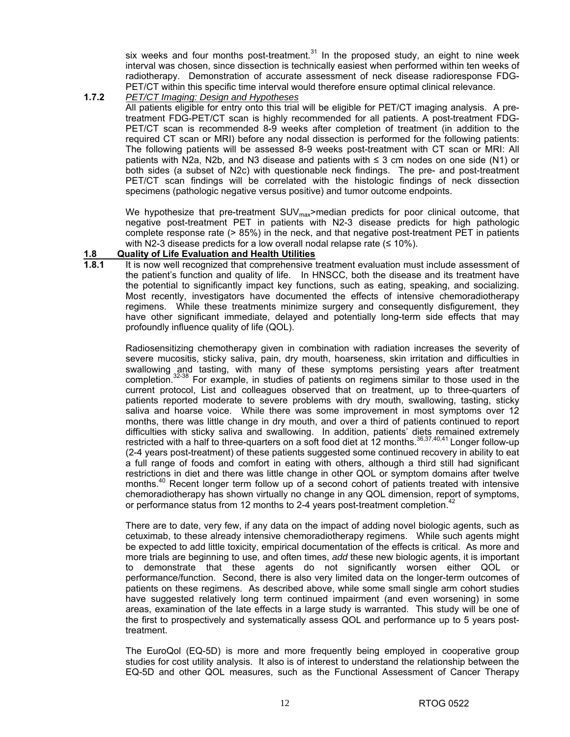six weeks and four months post-treatment. $31$  In the proposed study, an eight to nine week interval was chosen, since dissection is technically easiest when performed within ten weeks of radiotherapy. Demonstration of accurate assessment of neck disease radioresponse FDG-PET/CT within this specific time interval would therefore ensure optimal clinical relevance.

**1.7.2** *PET/CT Imaging: Design and Hypotheses*

All patients eligible for entry onto this trial will be eligible for PET/CT imaging analysis. A pretreatment FDG-PET/CT scan is highly recommended for all patients. A post-treatment FDG-PET/CT scan is recommended 8-9 weeks after completion of treatment (in addition to the required CT scan or MRI) before any nodal dissection is performed for the following patients: The following patients will be assessed 8-9 weeks post-treatment with CT scan or MRI: All patients with N2a, N2b, and N3 disease and patients with ≤ 3 cm nodes on one side (N1) or both sides (a subset of N2c) with questionable neck findings. The pre- and post-treatment PET/CT scan findings will be correlated with the histologic findings of neck dissection specimens (pathologic negative versus positive) and tumor outcome endpoints.

We hypothesize that pre-treatment  $SUV_{max}$ >median predicts for poor clinical outcome, that negative post-treatment PET in patients with N2-3 disease predicts for high pathologic complete response rate (> 85%) in the neck, and that negative post-treatment PET in patients with N2-3 disease predicts for a low overall nodal relapse rate  $( \leq 10\%)$ .

# **1.8 Quality of Life Evaluation and Health Utilities**<br>**1.8.1** It is now well recognized that comprehensive i

It is now well recognized that comprehensive treatment evaluation must include assessment of the patient's function and quality of life. In HNSCC, both the disease and its treatment have the potential to significantly impact key functions, such as eating, speaking, and socializing. Most recently, investigators have documented the effects of intensive chemoradiotherapy regimens. While these treatments minimize surgery and consequently disfigurement, they have other significant immediate, delayed and potentially long-term side effects that may profoundly influence quality of life (QOL).

Radiosensitizing chemotherapy given in combination with radiation increases the severity of severe mucositis, sticky saliva, pain, dry mouth, hoarseness, skin irritation and difficulties in swallowing and tasting, with many of these symptoms persisting years after treatment completion.<sup>32-38</sup> For example, in studies of patients on regimens similar to those used in the current protocol, List and colleagues observed that on treatment, up to three-quarters of patients reported moderate to severe problems with dry mouth, swallowing, tasting, sticky saliva and hoarse voice. While there was some improvement in most symptoms over 12 months, there was little change in dry mouth, and over a third of patients continued to report difficulties with sticky saliva and swallowing. In addition, patients' diets remained extremely restricted with a half to three-quarters on a soft food diet at 12 months.<sup>36,37,40,41</sup> Longer follow-up (2-4 years post-treatment) of these patients suggested some continued recovery in ability to eat a full range of foods and comfort in eating with others, although a third still had significant restrictions in diet and there was little change in other QOL or symptom domains after twelve months.<sup>40</sup> Recent longer term follow up of a second cohort of patients treated with intensive chemoradiotherapy has shown virtually no change in any QOL dimension, report of symptoms, or performance status from 12 months to 2-4 years post-treatment completion.<sup>42</sup>

There are to date, very few, if any data on the impact of adding novel biologic agents, such as cetuximab, to these already intensive chemoradiotherapy regimens. While such agents might be expected to add little toxicity, empirical documentation of the effects is critical. As more and more trials are beginning to use, and often times, *add* these new biologic agents, it is important to demonstrate that these agents do not significantly worsen either QOL or performance/function. Second, there is also very limited data on the longer-term outcomes of patients on these regimens. As described above, while some small single arm cohort studies have suggested relatively long term continued impairment (and even worsening) in some areas, examination of the late effects in a large study is warranted. This study will be one of the first to prospectively and systematically assess QOL and performance up to 5 years posttreatment.

The EuroQol (EQ-5D) is more and more frequently being employed in cooperative group studies for cost utility analysis. It also is of interest to understand the relationship between the EQ-5D and other QOL measures, such as the Functional Assessment of Cancer Therapy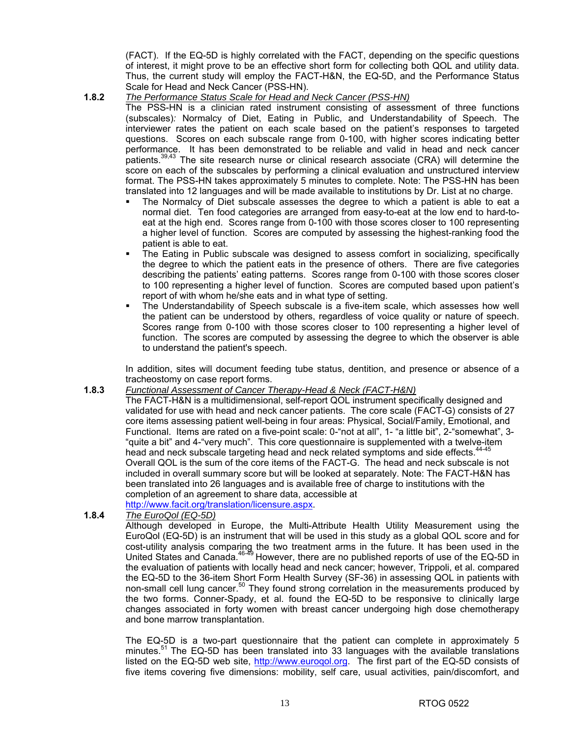(FACT). If the EQ-5D is highly correlated with the FACT, depending on the specific questions of interest, it might prove to be an effective short form for collecting both QOL and utility data. Thus, the current study will employ the FACT-H&N, the EQ-5D, and the Performance Status Scale for Head and Neck Cancer (PSS-HN).

**1.8.2** *The Performance Status Scale for Head and Neck Cancer (PSS-HN)*

The PSS-HN is a clinician rated instrument consisting of assessment of three functions (subscales)*:* Normalcy of Diet, Eating in Public, and Understandability of Speech. The interviewer rates the patient on each scale based on the patient's responses to targeted questions. Scores on each subscale range from 0-100, with higher scores indicating better performance. It has been demonstrated to be reliable and valid in head and neck cancer patients.<sup>39,43</sup> The site research nurse or clinical research associate (CRA) will determine the score on each of the subscales by performing a clinical evaluation and unstructured interview format. The PSS-HN takes approximately 5 minutes to complete. Note: The PSS-HN has been translated into 12 languages and will be made available to institutions by Dr. List at no charge.

- The Normalcy of Diet subscale assesses the degree to which a patient is able to eat a normal diet. Ten food categories are arranged from easy-to-eat at the low end to hard-toeat at the high end. Scores range from 0-100 with those scores closer to 100 representing a higher level of function. Scores are computed by assessing the highest-ranking food the patient is able to eat.
- The Eating in Public subscale was designed to assess comfort in socializing, specifically the degree to which the patient eats in the presence of others. There are five categories describing the patients' eating patterns. Scores range from 0-100 with those scores closer to 100 representing a higher level of function. Scores are computed based upon patient's report of with whom he/she eats and in what type of setting.
- The Understandability of Speech subscale is a five-item scale, which assesses how well the patient can be understood by others, regardless of voice quality or nature of speech. Scores range from 0-100 with those scores closer to 100 representing a higher level of function. The scores are computed by assessing the degree to which the observer is able to understand the patient's speech.

In addition, sites will document feeding tube status, dentition, and presence or absence of a tracheostomy on case report forms.

#### **1.8.3** *Functional Assessment of Cancer Therapy-Head & Neck (FACT-H&N)*

The FACT-H&N is a multidimensional, self-report QOL instrument specifically designed and validated for use with head and neck cancer patients. The core scale (FACT-G) consists of 27 core items assessing patient well-being in four areas: Physical, Social/Family, Emotional, and Functional. Items are rated on a five-point scale: 0-"not at all", 1- "a little bit", 2-"somewhat", 3- "quite a bit" and 4-"very much". This core questionnaire is supplemented with a twelve-item head and neck subscale targeting head and neck related symptoms and side effects.<sup>4</sup> Overall QOL is the sum of the core items of the FACT-G. The head and neck subscale is not included in overall summary score but will be looked at separately. Note: The FACT-H&N has been translated into 26 languages and is available free of charge to institutions with the completion of an agreement to share data, accessible at [http://www.facit.org/translation/licensure.aspx.](http://www.facit.org/translation/licensure.aspx) 

## **1.8.4** *The EuroQol (EQ-5D)*

Although developed in Europe, the Multi-Attribute Health Utility Measurement using the EuroQol (EQ-5D) is an instrument that will be used in this study as a global QOL score and for cost-utility analysis comparing the two treatment arms in the future. It has been used in the United States and Canada.<sup>46-49</sup> However, there are no published reports of use of the EQ-5D in the evaluation of patients with locally head and neck cancer; however, Trippoli, et al. compared the EQ-5D to the 36-item Short Form Health Survey (SF-36) in assessing QOL in patients with non-small cell lung cancer.<sup>50</sup> They found strong correlation in the measurements produced by the two forms. Conner-Spady, et al. found the EQ-5D to be responsive to clinically large changes associated in forty women with breast cancer undergoing high dose chemotherapy and bone marrow transplantation.

The EQ-5D is a two-part questionnaire that the patient can complete in approximately 5 minutes.<sup>51</sup> The EQ-5D has been translated into  $33$  languages with the available translations listed on the EQ-5D web site, [http://www.euroqol.org.](http://www.euroqol.org) The first part of the EQ-5D consists of five items covering five dimensions: mobility, self care, usual activities, pain/discomfort, and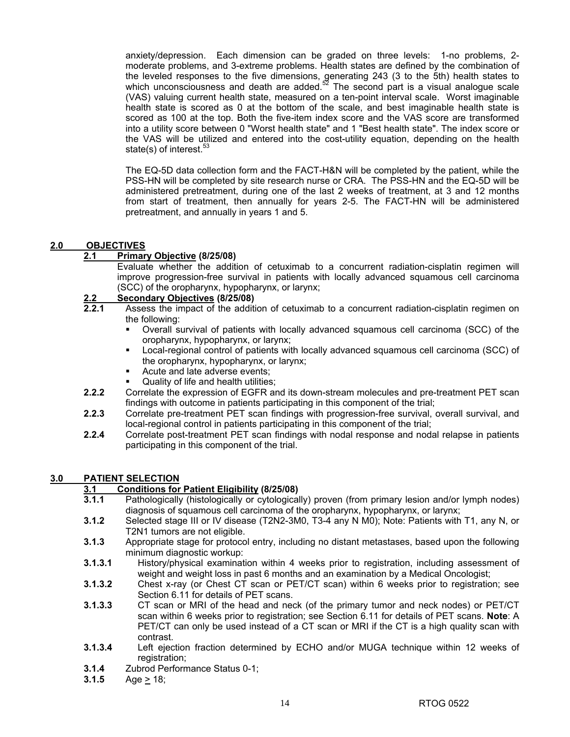anxiety/depression. Each dimension can be graded on three levels: 1-no problems, 2 moderate problems, and 3-extreme problems. Health states are defined by the combination of the leveled responses to the five dimensions, generating 243 (3 to the 5th) health states to which unconsciousness and death are added. $52$  The second part is a visual analogue scale (VAS) valuing current health state, measured on a ten-point interval scale. Worst imaginable health state is scored as 0 at the bottom of the scale, and best imaginable health state is scored as 100 at the top. Both the five-item index score and the VAS score are transformed into a utility score between 0 "Worst health state" and 1 "Best health state". The index score or the VAS will be utilized and entered into the cost-utility equation, depending on the health state(s) of interest. $53$ 

The EQ-5D data collection form and the FACT-H&N will be completed by the patient, while the PSS-HN will be completed by site research nurse or CRA. The PSS-HN and the EQ-5D will be administered pretreatment, during one of the last 2 weeks of treatment, at 3 and 12 months from start of treatment, then annually for years 2-5. The FACT-HN will be administered pretreatment, and annually in years 1 and 5.

## **2.0 OBJECTIVES**

## **2.1 Primary Objective (8/25/08)**

 Evaluate whether the addition of cetuximab to a concurrent radiation-cisplatin regimen will improve progression-free survival in patients with locally advanced squamous cell carcinoma (SCC) of the oropharynx, hypopharynx, or larynx;

## **2.2 Secondary Objectives (8/25/08)**

- **2.2.1** Assess the impact of the addition of cetuximab to a concurrent radiation-cisplatin regimen on the following:
	- Overall survival of patients with locally advanced squamous cell carcinoma (SCC) of the oropharynx, hypopharynx, or larynx;
	- Local-regional control of patients with locally advanced squamous cell carcinoma (SCC) of the oropharynx, hypopharynx, or larynx;
	- Acute and late adverse events;
	- Quality of life and health utilities;
- **2.2.2** Correlate the expression of EGFR and its down-stream molecules and pre-treatment PET scan findings with outcome in patients participating in this component of the trial;
- **2.2.3** Correlate pre-treatment PET scan findings with progression-free survival, overall survival, and local-regional control in patients participating in this component of the trial;
- **2.2.4** Correlate post-treatment PET scan findings with nodal response and nodal relapse in patients participating in this component of the trial.

#### **3.0 PATIENT SELECTION**

## **3.1 Conditions for Patient Eligibility (8/25/08)**

- **3.1.1** Pathologically (histologically or cytologically) proven (from primary lesion and/or lymph nodes) diagnosis of squamous cell carcinoma of the oropharynx, hypopharynx, or larynx;
- **3.1.2** Selected stage III or IV disease (T2N2-3M0, T3-4 any N M0); Note: Patients with T1, any N, or T2N1 tumors are not eligible.
- **3.1.3** Appropriate stage for protocol entry, including no distant metastases, based upon the following minimum diagnostic workup:
- **3.1.3.1** History/physical examination within 4 weeks prior to registration, including assessment of weight and weight loss in past 6 months and an examination by a Medical Oncologist;
- **3.1.3.2** Chest x-ray (or Chest CT scan or PET/CT scan) within 6 weeks prior to registration; see Section 6.11 for details of PET scans.
- **3.1.3.3** CT scan or MRI of the head and neck (of the primary tumor and neck nodes) or PET/CT scan within 6 weeks prior to registration; see Section 6.11 for details of PET scans. **Note**: A PET/CT can only be used instead of a CT scan or MRI if the CT is a high quality scan with contrast.
- **3.1.3.4** Left ejection fraction determined by ECHO and/or MUGA technique within 12 weeks of registration;
- **3.1.4** Zubrod Performance Status 0-1;
- **3.1.5** Age  $\geq$  18;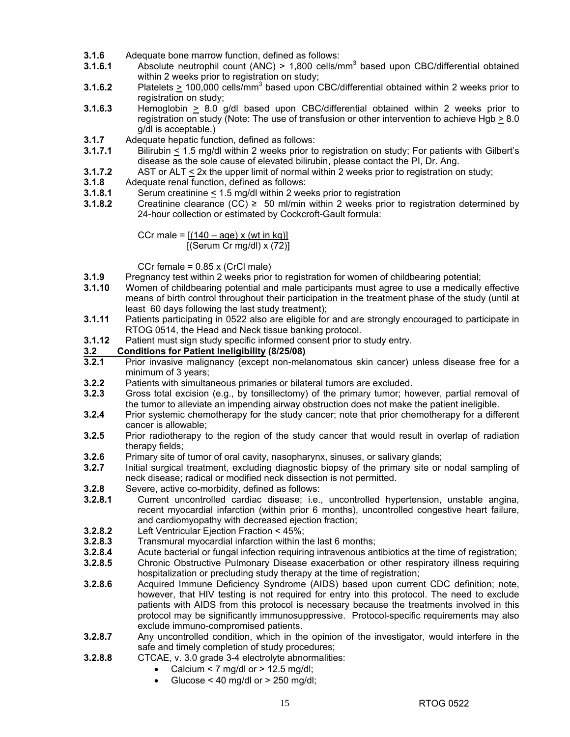- **3.1.6** Adequate bone marrow function, defined as follows:
- **3.1.6.1** Absolute neutrophil count  $(ANC) \ge 1,800$  cells/mm<sup>3</sup> based upon CBC/differential obtained within 2 weeks prior to registration on study;
- **3.1.6.2** Platelets > 100,000 cells/mm<sup>3</sup> based upon CBC/differential obtained within 2 weeks prior to registration on study;
- **3.1.6.3** Hemoglobin  $\geq$  8.0 g/dl based upon CBC/differential obtained within 2 weeks prior to registration on study (Note: The use of transfusion or other intervention to achieve Hgb > 8.0 g/dl is acceptable.)
- **3.1.7** Adequate hepatic function, defined as follows:
- **3.1.7.1** Bilirubin < 1.5 mg/dl within 2 weeks prior to registration on study; For patients with Gilbert's disease as the sole cause of elevated bilirubin, please contact the PI, Dr. Ang.
- **3.1.7.2** AST or ALT < 2x the upper limit of normal within 2 weeks prior to registration on study;
- **3.1.8** Adequate renal function, defined as follows:
- **3.1.8.1** Serum creatinine < 1.5 mg/dl within 2 weeks prior to registration
- **3.1.8.2** Creatinine clearance (CC) ≥ 50 ml/min within 2 weeks prior to registration determined by 24-hour collection or estimated by Cockcroft-Gault formula:

CCr male =  $[(140 - age) \times (wt in kg)]$ [(Serum Cr mg/dl) x (72)]

CCr female = 0.85 x (CrCl male)

- **3.1.9** Pregnancy test within 2 weeks prior to registration for women of childbearing potential;
- **3.1.10** Women of childbearing potential and male participants must agree to use a medically effective means of birth control throughout their participation in the treatment phase of the study (until at least 60 days following the last study treatment);
- **3.1.11** Patients participating in 0522 also are eligible for and are strongly encouraged to participate in RTOG 0514, the Head and Neck tissue banking protocol.
- **3.1.12** Patient must sign study specific informed consent prior to study entry.

#### **3.2 Conditions for Patient Ineligibility (8/25/08)**

- **3.2.1** Prior invasive malignancy (except non-melanomatous skin cancer) unless disease free for a minimum of 3 years;
- **3.2.2** Patients with simultaneous primaries or bilateral tumors are excluded.
- **3.2.3** Gross total excision (e.g., by tonsillectomy) of the primary tumor; however, partial removal of the tumor to alleviate an impending airway obstruction does not make the patient ineligible.
- **3.2.4** Prior systemic chemotherapy for the study cancer; note that prior chemotherapy for a different cancer is allowable;
- **3.2.5** Prior radiotherapy to the region of the study cancer that would result in overlap of radiation therapy fields;
- **3.2.6** Primary site of tumor of oral cavity, nasopharynx, sinuses, or salivary glands;
- **3.2.7** Initial surgical treatment, excluding diagnostic biopsy of the primary site or nodal sampling of neck disease; radical or modified neck dissection is not permitted.
- **3.2.8** Severe, active co-morbidity, defined as follows:
- **3.2.8.1** Current uncontrolled cardiac disease; i.e., uncontrolled hypertension, unstable angina, recent myocardial infarction (within prior 6 months), uncontrolled congestive heart failure, and cardiomyopathy with decreased ejection fraction;
- **3.2.8.2** Left Ventricular Ejection Fraction < 45%;
- **3.2.8.3** Transmural myocardial infarction within the last 6 months;
- **3.2.8.4** •• Acute bacterial or fungal infection requiring intravenous antibiotics at the time of registration;
- **3.2.8.5** Chronic Obstructive Pulmonary Disease exacerbation or other respiratory illness requiring hospitalization or precluding study therapy at the time of registration;
- **3.2.8.6** Acquired Immune Deficiency Syndrome (AIDS) based upon current CDC definition; note, however, that HIV testing is not required for entry into this protocol. The need to exclude patients with AIDS from this protocol is necessary because the treatments involved in this protocol may be significantly immunosuppressive. Protocol-specific requirements may also exclude immuno-compromised patients.
- **3.2.8.7** Any uncontrolled condition, which in the opinion of the investigator, would interfere in the safe and timely completion of study procedures;
- **3.2.8.8** CTCAE, v. 3.0 grade 3-4 electrolyte abnormalities:
	- Calcium  $\leq$  7 mg/dl or  $>$  12.5 mg/dl;
	- Glucose  $\leq 40$  mg/dl or  $> 250$  mg/dl;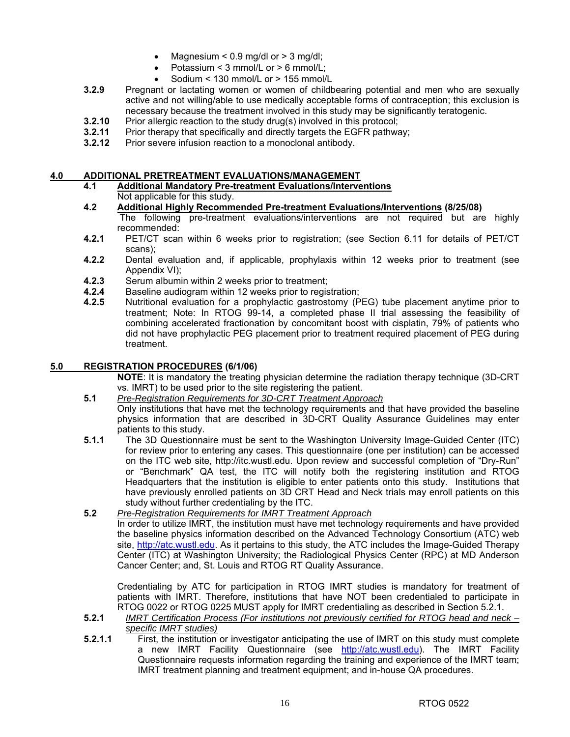- Magnesium  $< 0.9$  mg/dl or  $> 3$  mg/dl;
- Potassium < 3 mmol/L or > 6 mmol/L;
- Sodium < 130 mmol/L or > 155 mmol/L
- **3.2.9** Pregnant or lactating women or women of childbearing potential and men who are sexually active and not willing/able to use medically acceptable forms of contraception; this exclusion is necessary because the treatment involved in this study may be significantly teratogenic.
- **3.2.10** Prior allergic reaction to the study drug(s) involved in this protocol;
- **3.2.11** Prior therapy that specifically and directly targets the EGFR pathway;
- **3.2.12** Prior severe infusion reaction to a monoclonal antibody.

#### **4.0 ADDITIONAL PRETREATMENT EVALUATIONS/MANAGEMENT**

- **4.1 Additional Mandatory Pre-treatment Evaluations/Interventions** Not applicable for this study.
- **4.2 Additional Highly Recommended Pre-treatment Evaluations/Interventions (8/25/08)** The following pre-treatment evaluations/interventions are not required but are highly recommended:
- **4.2.1** PET/CT scan within 6 weeks prior to registration; (see Section 6.11 for details of PET/CT scans);
- **4.2.2** Dental evaluation and, if applicable, prophylaxis within 12 weeks prior to treatment (see Appendix VI);
- **4.2.3** Serum albumin within 2 weeks prior to treatment;
- **4.2.4** Baseline audiogram within 12 weeks prior to registration;
- **4.2.5** Nutritional evaluation for a prophylactic gastrostomy (PEG) tube placement anytime prior to treatment; Note: In RTOG 99-14, a completed phase II trial assessing the feasibility of combining accelerated fractionation by concomitant boost with cisplatin, 79% of patients who did not have prophylactic PEG placement prior to treatment required placement of PEG during treatment.

#### **5.0 REGISTRATION PROCEDURES (6/1/06)**

**NOTE**: It is mandatory the treating physician determine the radiation therapy technique (3D-CRT vs. IMRT) to be used prior to the site registering the patient.

**5.1** *Pre-Registration Requirements for 3D-CRT Treatment Approach*

Only institutions that have met the technology requirements and that have provided the baseline physics information that are described in 3D-CRT Quality Assurance Guidelines may enter patients to this study.

- **5.1.1** The 3D Questionnaire must be sent to the Washington University Image-Guided Center (ITC) for review prior to entering any cases. This questionnaire (one per institution) can be accessed on the ITC web site, [http://itc.wustl.edu.](http://itc.wustl.edu) Upon review and successful completion of "Dry-Run" or "Benchmark" QA test, the ITC will notify both the registering institution and RTOG Headquarters that the institution is eligible to enter patients onto this study. Institutions that have previously enrolled patients on 3D CRT Head and Neck trials may enroll patients on this study without further credentialing by the ITC.
- **5.2** *Pre-Registration Requirements for IMRT Treatment Approach* In order to utilize IMRT, the institution must have met technology requirements and have provided the baseline physics information described on the Advanced Technology Consortium (ATC) web site, [http://atc.wustl.edu.](http://atc.wustl.edu) As it pertains to this study, the ATC includes the Image-Guided Therapy Center (ITC) at Washington University; the Radiological Physics Center (RPC) at MD Anderson Cancer Center; and, St. Louis and RTOG RT Quality Assurance.

Credentialing by ATC for participation in RTOG IMRT studies is mandatory for treatment of patients with IMRT. Therefore, institutions that have NOT been credentialed to participate in RTOG 0022 or RTOG 0225 MUST apply for IMRT credentialing as described in Section 5.2.1.

- **5.2.1** *IMRT Certification Process (For institutions not previously certified for RTOG head and neck – specific IMRT studies)*
- **5.2.1.1** First, the institution or investigator anticipating the use of IMRT on this study must complete a new IMRT Facility Questionnaire (see <http://atc.wustl.edu>). The IMRT Facility Questionnaire requests information regarding the training and experience of the IMRT team; IMRT treatment planning and treatment equipment; and in-house QA procedures.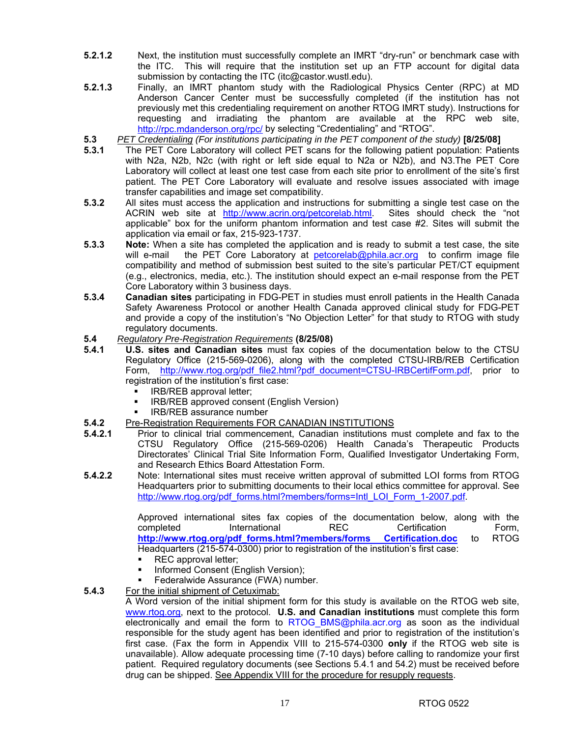- **5.2.1.2** Next, the institution must successfully complete an IMRT "dry-run" or benchmark case with the ITC. This will require that the institution set up an FTP account for digital data submission by contacting the ITC ([itc@castor.wustl.edu\).](mailto:itc@castor.wustl.edu)
- **5.2.1.3** Finally, an IMRT phantom study with the Radiological Physics Center (RPC) at MD Anderson Cancer Center must be successfully completed (if the institution has not previously met this credentialing requirement on another RTOG IMRT study). Instructions for requesting and irradiating the phantom are available at the RPC web site, [http://rpc.mdanderson.org/rpc/](http://rpc.mdanderson.org/rpc) by selecting "Credentialing" and "RTOG".
- **5.3** *PET Credentialing (For institutions participating in the PET component of the study)* **[8/25/08]**
- **5.3.1** The PET Core Laboratory will collect PET scans for the following patient population: Patients with N2a, N2b, N2c (with right or left side equal to N2a or N2b), and N3.The PET Core Laboratory will collect at least one test case from each site prior to enrollment of the site's first patient. The PET Core Laboratory will evaluate and resolve issues associated with image transfer capabilities and image set compatibility.
- **5.3.2** All sites must access the application and instructions for submitting a single test case on the ACRIN web site at [http://www.acrin.org/petcorelab.html.](http://www.acrin.org/petcorelab.html) Sites should check the "not applicable" box for the uniform phantom information and test case #2. Sites will submit the application via email or fax, 215-923-1737.
- **5.3.3 Note:** When a site has completed the application and is ready to submit a test case, the site will e-mail the PET Core Laboratory at [petcorelab@phila.acr.org](mailto:petcorelab@phila.acr.org) to confirm image file compatibility and method of submission best suited to the site's particular PET/CT equipment (e.g., electronics, media, etc.). The institution should expect an e-mail response from the PET Core Laboratory within 3 business days.
- **5.3.4 Canadian sites** participating in FDG-PET in studies must enroll patients in the Health Canada Safety Awareness Protocol or another Health Canada approved clinical study for FDG-PET and provide a copy of the institution's "No Objection Letter" for that study to RTOG with study regulatory documents.
- **5.4** *Regulatory Pre-Registration Requirements* **(8/25/08)**
- **5.4.1 U.S. sites and Canadian sites** must fax copies of the documentation below to the CTSU Regulatory Office (215-569-0206), along with the completed CTSU-IRB/REB Certification Form, [http://www.rtog.org/pdf\\_file2.html?pdf\\_document=CTSU-IRBCertifForm.pdf,](http://www.rtog.org/pdf_file2.html?pdf_document=CTSU-IRBCertifForm.pdf) prior to registration of the institution's first case:
	- **IRB/REB approval letter;**
	- **IRB/REB approved consent (English Version)**
	- IRB/REB assurance number
- **5.4.2** Pre-Registration Requirements FOR CANADIAN INSTITUTIONS
- **5.4.2.1** Prior to clinical trial commencement, Canadian institutions must complete and fax to the CTSU Regulatory Office (215-569-0206) Health Canada's Therapeutic Products Directorates' Clinical Trial Site Information Form, Qualified Investigator Undertaking Form, and Research Ethics Board Attestation Form.
- **5.4.2.2** Note: International sites must receive written approval of submitted LOI forms from RTOG Headquarters prior to submitting documents to their local ethics committee for approval. See http://www.rtog.org/pdf\_forms.html?members/forms=Intl\_LOI\_Form\_1-2007.pdf.

 Approved international sites fax copies of the documentation below, along with the completed International REC Certification Form, **[http://www.rtog.org/pdf\\_forms.html?members/forms](http://www.rtog.org/pdf_forms.html?members/forms) Certification.doc** to RTOG Headquarters (215-574-0300) prior to registration of the institution's first case:

- **REC** approval letter:
- **Informed Consent (English Version):**
- Federalwide Assurance (FWA) number.
- **5.4.3** For the initial shipment of Cetuximab:

A Word version of the initial shipment form for this study is available on the RTOG web site, [www.rtog.org,](http://www.rtog.org) next to the protocol. **U.S. and Canadian institutions** must complete this form electronically and email the form to RTOG[\\_BMS@phila.acr.org a](mailto:BMS@phila.acr.org)s soon as the individual responsible for the study agent has been identified and prior to registration of the institution's first case. (Fax the form in Appendix VIII to 215-574-0300 **only** if the RTOG web site is unavailable). Allow adequate processing time (7-10 days) before calling to randomize your first patient. Required regulatory documents (see Sections 5.4.1 and 54.2) must be received before drug can be shipped. See Appendix VIII for the procedure for resupply requests.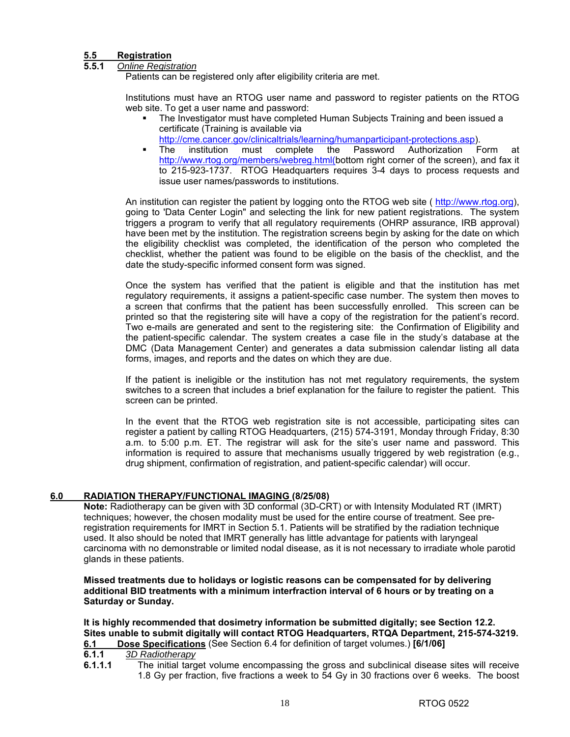#### **5.5 Registration**

#### **5.5.1** *Online Registration*

Patients can be registered only after eligibility criteria are met.

Institutions must have an RTOG user name and password to register patients on the RTOG web site. To get a user name and password:

- The Investigator must have completed Human Subjects Training and been issued a certificate (Training is available via
	- <http://cme.cancer.gov/clinicaltrials/learning/humanparticipant-protections.asp>).
- The institution must complete the Password Authorization Form at [http://www.rtog.org/members/webreg.html\(](http://www.rtog.org/members/webreg.html)bottom right corner of the screen), and fax it to 215-923-1737. RTOG Headquarters requires 3-4 days to process requests and issue user names/passwords to institutions.

An institution can register the patient by logging onto the RTOG web site (http://www.rtog.org), going to 'Data Center Login" and selecting the link for new patient registrations. The system triggers a program to verify that all regulatory requirements (OHRP assurance, IRB approval) have been met by the institution. The registration screens begin by asking for the date on which the eligibility checklist was completed, the identification of the person who completed the checklist, whether the patient was found to be eligible on the basis of the checklist, and the date the study-specific informed consent form was signed.

Once the system has verified that the patient is eligible and that the institution has met regulatory requirements, it assigns a patient-specific case number. The system then moves to a screen that confirms that the patient has been successfully enrolled. This screen can be printed so that the registering site will have a copy of the registration for the patient's record. Two e-mails are generated and sent to the registering site: the Confirmation of Eligibility and the patient-specific calendar. The system creates a case file in the study's database at the DMC (Data Management Center) and generates a data submission calendar listing all data forms, images, and reports and the dates on which they are due.

 If the patient is ineligible or the institution has not met regulatory requirements, the system switches to a screen that includes a brief explanation for the failure to register the patient. This screen can be printed.

In the event that the RTOG web registration site is not accessible, participating sites can register a patient by calling RTOG Headquarters, (215) 574-3191, Monday through Friday, 8:30 a.m. to 5:00 p.m. ET. The registrar will ask for the site's user name and password. This information is required to assure that mechanisms usually triggered by web registration (e.g., drug shipment, confirmation of registration, and patient-specific calendar) will occur.

## **6.0 RADIATION THERAPY/FUNCTIONAL IMAGING (8/25/08)**

**Note:** Radiotherapy can be given with 3D conformal (3D-CRT) or with Intensity Modulated RT (IMRT) techniques; however, the chosen modality must be used for the entire course of treatment. See preregistration requirements for IMRT in Section 5.1. Patients will be stratified by the radiation technique used. It also should be noted that IMRT generally has little advantage for patients with laryngeal carcinoma with no demonstrable or limited nodal disease, as it is not necessary to irradiate whole parotid glands in these patients.

#### **Missed treatments due to holidays or logistic reasons can be compensated for by delivering additional BID treatments with a minimum interfraction interval of 6 hours or by treating on a Saturday or Sunday.**

**It is highly recommended that dosimetry information be submitted digitally; see Section 12.2. Sites unable to submit digitally will contact RTOG Headquarters, RTQA Department, 215-574-3219. 6.1 Dose Specifications** (See Section 6.4 for definition of target volumes.) **[6/1/06]** 

#### **6.1.1** *3D Radiotherapy*

**6.1.1.1** The initial target volume encompassing the gross and subclinical disease sites will receive 1.8 Gy per fraction, five fractions a week to 54 Gy in 30 fractions over 6 weeks. The boost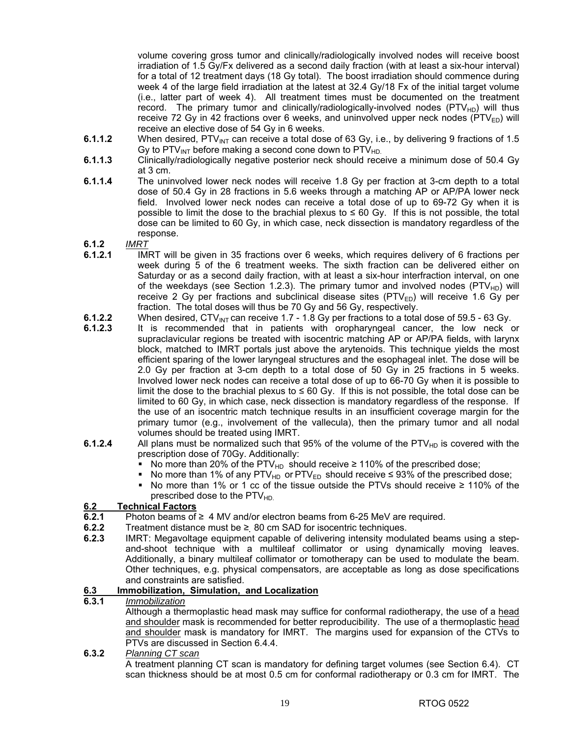volume covering gross tumor and clinically/radiologically involved nodes will receive boost irradiation of 1.5 Gy/Fx delivered as a second daily fraction (with at least a six-hour interval) for a total of 12 treatment days (18 Gy total). The boost irradiation should commence during week 4 of the large field irradiation at the latest at 32.4 Gy/18 Fx of the initial target volume (i.e., latter part of week 4). All treatment times must be documented on the treatment record. The primary tumor and clinically/radiologically-involved nodes  $(PTV_{HD})$  will thus receive 72 Gy in 42 fractions over 6 weeks, and uninvolved upper neck nodes ( $PTV_{ED}$ ) will receive an elective dose of 54 Gy in 6 weeks.

- **6.1.1.2** •• When desired, PTV<sub>INT</sub> can receive a total dose of 63 Gy, i.e., by delivering 9 fractions of 1.5 Gy to PTV $_{\text{INT}}$  before making a second cone down to PTV $_{\text{HD}}$
- **6.1.1.3** Clinically/radiologically negative posterior neck should receive a minimum dose of 50.4 Gy at 3 cm.
- **6.1.1.4** The uninvolved lower neck nodes will receive 1.8 Gy per fraction at 3-cm depth to a total dose of 50.4 Gy in 28 fractions in 5.6 weeks through a matching AP or AP/PA lower neck field. Involved lower neck nodes can receive a total dose of up to 69-72 Gy when it is possible to limit the dose to the brachial plexus to  $\leq 60$  Gy. If this is not possible, the total dose can be limited to 60 Gy, in which case, neck dissection is mandatory regardless of the response.
- **6.1.2** *IMRT*
- **6.1.2.1** IMRT will be given in 35 fractions over 6 weeks, which requires delivery of 6 fractions per week during 5 of the 6 treatment weeks. The sixth fraction can be delivered either on Saturday or as a second daily fraction, with at least a six-hour interfraction interval, on one of the weekdays (see Section 1.2.3). The primary tumor and involved nodes ( $PTV<sub>HD</sub>$ ) will receive 2 Gy per fractions and subclinical disease sites  $(PTV_{ED})$  will receive 1.6 Gy per fraction. The total doses will thus be 70 Gy and 56 Gy, respectively.
- **6.1.2.2** When desired, CTV<sub>INT</sub> can receive 1.7 1.8 Gy per fractions to a total dose of 59.5 63 Gy.<br>**6.1.2.3** It is recommended that in patients with oropharyngeal cancer, the low neck or
- **6.1.2.3** It is recommended that in patients with oropharyngeal cancer, the low neck or supraclavicular regions be treated with isocentric matching AP or AP/PA fields, with larynx block, matched to IMRT portals just above the arytenoids. This technique yields the most efficient sparing of the lower laryngeal structures and the esophageal inlet. The dose will be 2.0 Gy per fraction at 3-cm depth to a total dose of 50 Gy in 25 fractions in 5 weeks. Involved lower neck nodes can receive a total dose of up to 66-70 Gy when it is possible to limit the dose to the brachial plexus to  $\leq 60$  Gy. If this is not possible, the total dose can be limited to 60 Gy, in which case, neck dissection is mandatory regardless of the response. If the use of an isocentric match technique results in an insufficient coverage margin for the primary tumor (e.g., involvement of the vallecula), then the primary tumor and all nodal volumes should be treated using IMRT.
- **6.1.2.4** All plans must be normalized such that 95% of the volume of the PTV<sub>HD</sub> is covered with the prescription dose of 70Gy. Additionally:
	- No more than 20% of the PTV<sub>HD</sub> should receive  $\geq$  110% of the prescribed dose;
	- No more than 1% of any PTV<sub>HD</sub> or PTV<sub>ED</sub> should receive  $\leq$  93% of the prescribed dose;
	- No more than 1% or 1 cc of the tissue outside the PTVs should receive ≥ 110% of the prescribed dose to the  $PTV_{HD}$

## **6.2 Technical Factors**

- **6.2.1** Photon beams of ≥ 4 MV and/or electron beams from 6-25 MeV are required.
- **6.2.2** Treatment distance must be ≥ 80 cm SAD for isocentric techniques.
- **6.2.3** IMRT: Megavoltage equipment capable of delivering intensity modulated beams using a stepand-shoot technique with a multileaf collimator or using dynamically moving leaves. Additionally, a binary multileaf collimator or tomotherapy can be used to modulate the beam. Other techniques, e.g. physical compensators, are acceptable as long as dose specifications and constraints are satisfied.

## **6.3 Immobilization, Simulation, and Localization**

#### **6.3.1** *Immobilization*

Although a thermoplastic head mask may suffice for conformal radiotherapy, the use of a head and shoulder mask is recommended for better reproducibility. The use of a thermoplastic head and shoulder mask is mandatory for IMRT. The margins used for expansion of the CTVs to PTVs are discussed in Section 6.4.4.

**6.3.2** *Planning CT scan* A treatment planning CT scan is mandatory for defining target volumes (see Section 6.4). CT scan thickness should be at most 0.5 cm for conformal radiotherapy or 0.3 cm for IMRT. The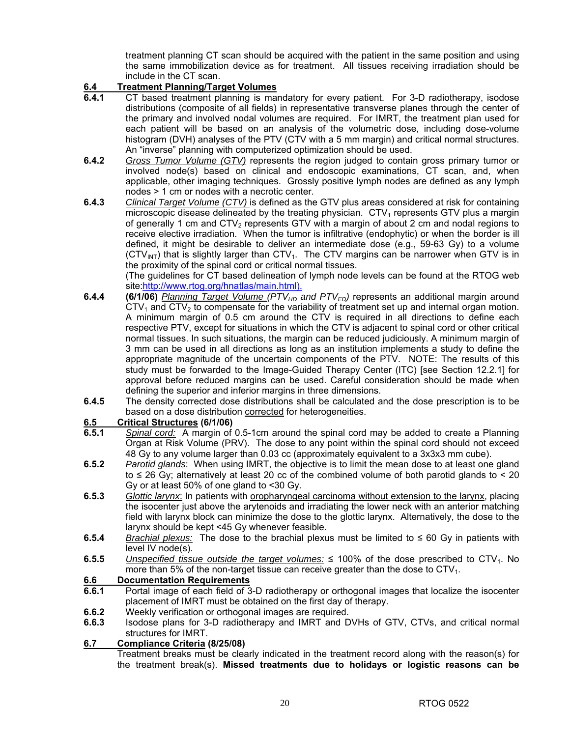treatment planning CT scan should be acquired with the patient in the same position and using the same immobilization device as for treatment. All tissues receiving irradiation should be include in the CT scan.

# **6.4 Treatment Planning/Target Volumes**

- **6.4.1** CT based treatment planning is mandatory for every patient. For 3-D radiotherapy, isodose distributions (composite of all fields) in representative transverse planes through the center of the primary and involved nodal volumes are required. For IMRT, the treatment plan used for each patient will be based on an analysis of the volumetric dose, including dose-volume histogram (DVH) analyses of the PTV (CTV with a 5 mm margin) and critical normal structures. An "inverse" planning with computerized optimization should be used.
- **6.4.2** *Gross Tumor Volume (GTV)* represents the region judged to contain gross primary tumor or involved node(s) based on clinical and endoscopic examinations, CT scan, and, when applicable, other imaging techniques. Grossly positive lymph nodes are defined as any lymph nodes > 1 cm or nodes with a necrotic center.
- **6.4.3** *Clinical Target Volume (CTV)* is defined as the GTV plus areas considered at risk for containing microscopic disease delineated by the treating physician.  $CY_{1}$  represents GTV plus a margin of generally 1 cm and  $\text{CTV}_2$  represents GTV with a margin of about 2 cm and nodal regions to receive elective irradiation. When the tumor is infiltrative (endophytic) or when the border is ill defined, it might be desirable to deliver an intermediate dose (e.g., 59-63 Gy) to a volume  $(CTV<sub>INT</sub>)$  that is slightly larger than CTV<sub>1</sub>. The CTV margins can be narrower when GTV is in the proximity of the spinal cord or critical normal tissues.

(The guidelines for CT based delineation of lymph node levels can be found at the RTOG web site[:http://www.rtog.org/hnatlas/main.html\).](http://www.rtog.org/hnatlas/main.html) 

- **6.4.4** (6/1/06) *Planning Target Volume (PTV<sub>HD</sub> and PTV<sub>ED</sub>)* represents an additional margin around  $\text{CTV}_1$  and  $\text{CTV}_2$  to compensate for the variability of treatment set up and internal organ motion. A minimum margin of 0.5 cm around the CTV is required in all directions to define each respective PTV, except for situations in which the CTV is adjacent to spinal cord or other critical normal tissues. In such situations, the margin can be reduced judiciously. A minimum margin of 3 mm can be used in all directions as long as an institution implements a study to define the appropriate magnitude of the uncertain components of the PTV. NOTE: The results of this study must be forwarded to the Image-Guided Therapy Center (ITC) [see Section 12.2.1] for approval before reduced margins can be used. Careful consideration should be made when defining the superior and inferior margins in three dimensions.
- **6.4.5** The density corrected dose distributions shall be calculated and the dose prescription is to be based on a dose distribution corrected for heterogeneities.

## **6.5 Critical Structures (6/1/06)**

- **6.5.1** *Spinal cord:* A margin of 0.5-1cm around the spinal cord may be added to create a Planning Organ at Risk Volume (PRV). The dose to any point within the spinal cord should not exceed 48 Gy to any volume larger than 0.03 cc (approximately equivalent to a 3x3x3 mm cube).
- **6.5.2** *Parotid glands*: When using IMRT, the objective is to limit the mean dose to at least one gland to ≤ 26 Gy; alternatively at least 20 cc of the combined volume of both parotid glands to < 20 Gy or at least 50% of one gland to <30 Gy.
- **6.5.3** *Glottic larynx*: In patients with oropharyngeal carcinoma without extension to the larynx, placing the isocenter just above the arytenoids and irradiating the lower neck with an anterior matching field with larynx block can minimize the dose to the glottic larynx. Alternatively, the dose to the larynx should be kept <45 Gy whenever feasible.
- **6.5.4** *Brachial plexus:* The dose to the brachial plexus must be limited to ≤ 60 Gy in patients with level IV node(s).
- **6.5.5** *Dinspecified tissue outside the target volumes:* ≤ 100% of the dose prescribed to CTV<sub>1</sub>. No more than 5% of the non-target tissue can receive greater than the dose to  $\text{CTV}_1$ .

## **6.6 Documentation Requirements**

- **6.6.1** Portal image of each field of 3-D radiotherapy or orthogonal images that localize the isocenter placement of IMRT must be obtained on the first day of therapy.
- **6.6.2** Weekly verification or orthogonal images are required.
- **6.6.3** Isodose plans for 3-D radiotherapy and IMRT and DVHs of GTV, CTVs, and critical normal structures for IMRT.

## **6.7 Compliance Criteria (8/25/08)**

Treatment breaks must be clearly indicated in the treatment record along with the reason(s) for the treatment break(s). **Missed treatments due to holidays or logistic reasons can be**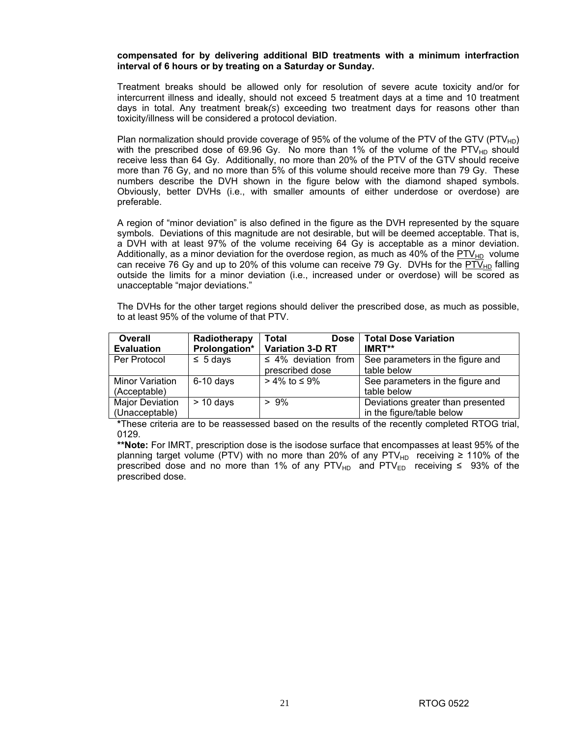#### **compensated for by delivering additional BID treatments with a minimum interfraction interval of 6 hours or by treating on a Saturday or Sunday.**

Treatment breaks should be allowed only for resolution of severe acute toxicity and/or for intercurrent illness and ideally, should not exceed 5 treatment days at a time and 10 treatment days in total. Any treatment break*(s*) exceeding two treatment days for reasons other than toxicity/illness will be considered a protocol deviation.

Plan normalization should provide coverage of 95% of the volume of the PTV of the GTV ( $PTV<sub>HD</sub>$ ) with the prescribed dose of 69.96 Gy. No more than 1% of the volume of the PTV $_{HD}$  should receive less than 64 Gy. Additionally, no more than 20% of the PTV of the GTV should receive more than 76 Gy, and no more than 5% of this volume should receive more than 79 Gy. These numbers describe the DVH shown in the figure below with the diamond shaped symbols. Obviously, better DVHs (i.e., with smaller amounts of either underdose or overdose) are preferable.

A region of "minor deviation" is also defined in the figure as the DVH represented by the square symbols. Deviations of this magnitude are not desirable, but will be deemed acceptable. That is, a DVH with at least 97% of the volume receiving 64 Gy is acceptable as a minor deviation. Additionally, as a minor deviation for the overdose region, as much as 40% of the  $PTV_{HD}$  volume can receive 76 Gy and up to 20% of this volume can receive 79 Gy. DVHs for the  $\overline{PTV}_{HD}$  falling outside the limits for a minor deviation (i.e., increased under or overdose) will be scored as unacceptable "major deviations."

The DVHs for the other target regions should deliver the prescribed dose, as much as possible, to at least 95% of the volume of that PTV.

| Overall<br><b>Evaluation</b>             | Radiotherapy<br>Prolongation* | Total<br><b>Dose</b><br><b>Variation 3-D RT</b> | <b>Total Dose Variation</b><br>IMRT**                          |
|------------------------------------------|-------------------------------|-------------------------------------------------|----------------------------------------------------------------|
| Per Protocol                             | $\leq 5$ days                 | $\leq$ 4% deviation from<br>prescribed dose     | See parameters in the figure and<br>table below                |
| Minor Variation<br>(Acceptable)          | $6-10$ days                   | > 4% to ≤ 9%                                    | See parameters in the figure and<br>table below                |
| <b>Major Deviation</b><br>(Unacceptable) | $> 10$ days                   | $> 9\%$                                         | Deviations greater than presented<br>in the figure/table below |

**\***These criteria are to be reassessed based on the results of the recently completed RTOG trial, 0129.

**\*\*Note:** For IMRT, prescription dose is the isodose surface that encompasses at least 95% of the planning target volume (PTV) with no more than 20% of any PTV<sub>HD</sub> receiving  $\geq$  110% of the prescribed dose and no more than 1% of any PTV<sub>HD</sub> and PTV<sub>ED</sub> receiving  $\leq$  93% of the prescribed dose.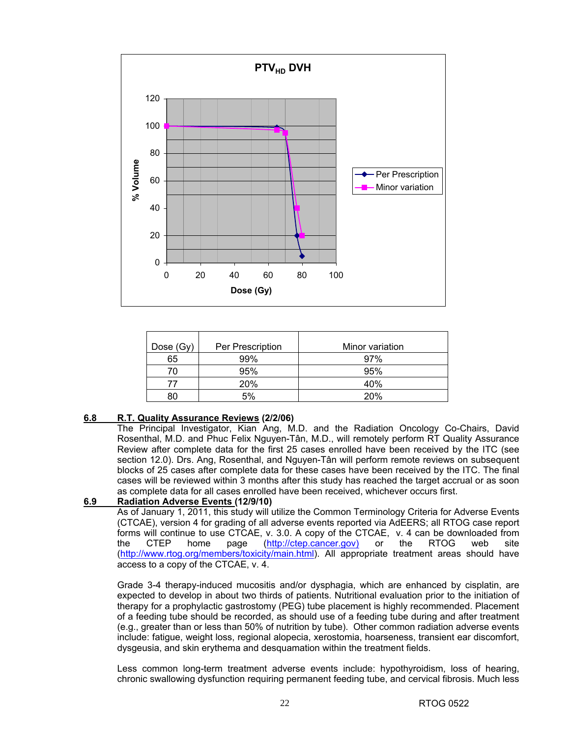

| Dose $(Gy)$ | Per Prescription | Minor variation |
|-------------|------------------|-----------------|
| 65          | 99%              | 97%             |
| 70          | 95%              | 95%             |
| 77          | 20%              | 40%             |
| 80          | 5%               | 20%             |

#### **6.8 R.T. Quality Assurance Reviews (2/2/06)**

The Principal Investigator, Kian Ang, M.D. and the Radiation Oncology Co-Chairs, David Rosenthal, M.D. and Phuc Felix Nguyen-Tân, M.D., will remotely perform RT Quality Assurance Review after complete data for the first 25 cases enrolled have been received by the ITC (see section 12.0). Drs. Ang, Rosenthal, and Nguyen-Tân will perform remote reviews on subsequent blocks of 25 cases after complete data for these cases have been received by the ITC. The final cases will be reviewed within 3 months after this study has reached the target accrual or as soon as complete data for all cases enrolled have been received, whichever occurs first.

#### **6.9 Radiation Adverse Events (12/9/10)**

As of January 1, 2011, this study will utilize the Common Terminology Criteria for Adverse Events (CTCAE), version 4 for grading of all adverse events reported via AdEERS; all RTOG case report forms will continue to use CTCAE, v. 3.0. A copy of the CTCAE, v. 4 can be downloaded from the CTEP home page ([http://ctep.cancer.gov\)](http://ctep.cancer.gov) or the RTOG web site [\(http://www.rtog.org/members/toxicity/main.html\). A](http://www.rtog.org/members/toxicity/main.html)ll appropriate treatment areas should have access to a copy of the CTCAE, v. 4.

Grade 3-4 therapy-induced mucositis and/or dysphagia, which are enhanced by cisplatin, are expected to develop in about two thirds of patients. Nutritional evaluation prior to the initiation of therapy for a prophylactic gastrostomy (PEG) tube placement is highly recommended. Placement of a feeding tube should be recorded, as should use of a feeding tube during and after treatment (e.g., greater than or less than 50% of nutrition by tube). Other common radiation adverse events include: fatigue, weight loss, regional alopecia, xerostomia, hoarseness, transient ear discomfort, dysgeusia, and skin erythema and desquamation within the treatment fields.

Less common long-term treatment adverse events include: hypothyroidism, loss of hearing, chronic swallowing dysfunction requiring permanent feeding tube, and cervical fibrosis. Much less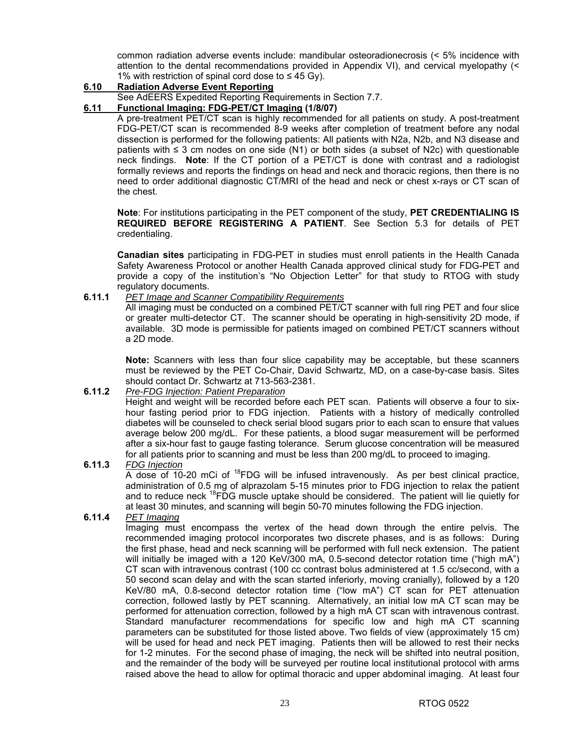common radiation adverse events include: mandibular osteoradionecrosis (< 5% incidence with attention to the dental recommendations provided in Appendix VI), and cervical myelopathy (< 1% with restriction of spinal cord dose to  $\leq 45$  Gy).

### **6.10 Radiation Adverse Event Reporting**

See AdEERS Expedited Reporting Requirements in Section 7.7.

### **6.11 Functional Imaging: FDG-PET/CT Imaging (1/8/07)**

A pre-treatment PET/CT scan is highly recommended for all patients on study. A post-treatment FDG-PET/CT scan is recommended 8-9 weeks after completion of treatment before any nodal dissection is performed for the following patients: All patients with N2a, N2b, and N3 disease and patients with  $\leq$  3 cm nodes on one side (N1) or both sides (a subset of N2c) with questionable neck findings. **Note**: If the CT portion of a PET/CT is done with contrast and a radiologist formally reviews and reports the findings on head and neck and thoracic regions, then there is no need to order additional diagnostic CT/MRI of the head and neck or chest x-rays or CT scan of the chest.

**Note**: For institutions participating in the PET component of the study, **PET CREDENTIALING IS REQUIRED BEFORE REGISTERING A PATIENT**. See Section 5.3 for details of PET credentialing.

**Canadian sites** participating in FDG-PET in studies must enroll patients in the Health Canada Safety Awareness Protocol or another Health Canada approved clinical study for FDG-PET and provide a copy of the institution's "No Objection Letter" for that study to RTOG with study regulatory documents.

**6.11.1** *PET Image and Scanner Compatibility Requirements*

All imaging must be conducted on a combined PET/CT scanner with full ring PET and four slice or greater multi-detector CT. The scanner should be operating in high-sensitivity 2D mode, if available. 3D mode is permissible for patients imaged on combined PET/CT scanners without a 2D mode.

**Note:** Scanners with less than four slice capability may be acceptable, but these scanners must be reviewed by the PET Co-Chair, David Schwartz, MD, on a case-by-case basis. Sites should contact Dr. Schwartz at 713-563-2381.

## **6.11.2** *Pre-FDG Injection: Patient Preparation*

Height and weight will be recorded before each PET scan. Patients will observe a four to sixhour fasting period prior to FDG injection. Patients with a history of medically controlled diabetes will be counseled to check serial blood sugars prior to each scan to ensure that values average below 200 mg/dL. For these patients, a blood sugar measurement will be performed after a six-hour fast to gauge fasting tolerance. Serum glucose concentration will be measured for all patients prior to scanning and must be less than 200 mg/dL to proceed to imaging.

## **6.11.3** *FDG Injection*

A dose of 10-20 mCi of  ${}^{18}$ FDG will be infused intravenously. As per best clinical practice, administration of 0.5 mg of alprazolam 5-15 minutes prior to FDG injection to relax the patient and to reduce neck <sup>18</sup>FDG muscle uptake should be considered. The patient will lie quietly for at least 30 minutes, and scanning will begin 50-70 minutes following the FDG injection.

## **6.11.4** *PET Imaging*

Imaging must encompass the vertex of the head down through the entire pelvis. The recommended imaging protocol incorporates two discrete phases, and is as follows: During the first phase, head and neck scanning will be performed with full neck extension. The patient will initially be imaged with a 120 KeV/300 mA, 0.5-second detector rotation time ("high mA") CT scan with intravenous contrast (100 cc contrast bolus administered at 1.5 cc/second, with a 50 second scan delay and with the scan started inferiorly, moving cranially), followed by a 120 KeV/80 mA, 0.8-second detector rotation time ("low mA") CT scan for PET attenuation correction, followed lastly by PET scanning. Alternatively, an initial low mA CT scan may be performed for attenuation correction, followed by a high mA CT scan with intravenous contrast. Standard manufacturer recommendations for specific low and high mA CT scanning parameters can be substituted for those listed above. Two fields of view (approximately 15 cm) will be used for head and neck PET imaging. Patients then will be allowed to rest their necks for 1-2 minutes. For the second phase of imaging, the neck will be shifted into neutral position, and the remainder of the body will be surveyed per routine local institutional protocol with arms raised above the head to allow for optimal thoracic and upper abdominal imaging. At least four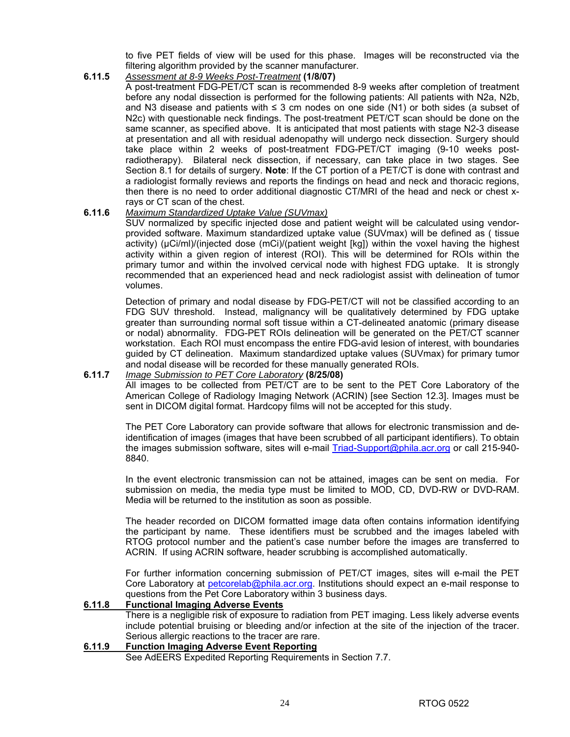to five PET fields of view will be used for this phase. Images will be reconstructed via the filtering algorithm provided by the scanner manufacturer.

**6.11.5** *Assessment at 8-9 Weeks Post-Treatment* **(1/8/07)** 

A post-treatment FDG-PET/CT scan is recommended 8-9 weeks after completion of treatment before any nodal dissection is performed for the following patients: All patients with N2a, N2b, and N3 disease and patients with  $\leq$  3 cm nodes on one side (N1) or both sides (a subset of N2c) with questionable neck findings. The post-treatment PET/CT scan should be done on the same scanner, as specified above. It is anticipated that most patients with stage N2-3 disease at presentation and all with residual adenopathy will undergo neck dissection. Surgery should take place within 2 weeks of post-treatment FDG-PET/CT imaging (9-10 weeks postradiotherapy). Bilateral neck dissection, if necessary, can take place in two stages. See Section 8.1 for details of surgery. **Note**: If the CT portion of a PET/CT is done with contrast and a radiologist formally reviews and reports the findings on head and neck and thoracic regions, then there is no need to order additional diagnostic CT/MRI of the head and neck or chest xrays or CT scan of the chest.

### **6.11.6** *Maximum Standardized Uptake Value (SUVmax)*

SUV normalized by specific injected dose and patient weight will be calculated using vendorprovided software. Maximum standardized uptake value (SUVmax) will be defined as ( tissue activity) (μCi/ml)/(injected dose (mCi)/(patient weight [kg]) within the voxel having the highest activity within a given region of interest (ROI). This will be determined for ROIs within the primary tumor and within the involved cervical node with highest FDG uptake. It is strongly recommended that an experienced head and neck radiologist assist with delineation of tumor volumes.

Detection of primary and nodal disease by FDG-PET/CT will not be classified according to an FDG SUV threshold. Instead, malignancy will be qualitatively determined by FDG uptake greater than surrounding normal soft tissue within a CT-delineated anatomic (primary disease or nodal) abnormality. FDG-PET ROIs delineation will be generated on the PET/CT scanner workstation. Each ROI must encompass the entire FDG-avid lesion of interest, with boundaries guided by CT delineation. Maximum standardized uptake values (SUVmax) for primary tumor and nodal disease will be recorded for these manually generated ROIs.

#### **6.11.7** *Image Submission to PET Core Laboratory* **(8/25/08)**

All images to be collected from PET/CT are to be sent to the PET Core Laboratory of the American College of Radiology Imaging Network (ACRIN) [see Section 12.3]. Images must be sent in DICOM digital format. Hardcopy films will not be accepted for this study.

The PET Core Laboratory can provide software that allows for electronic transmission and deidentification of images (images that have been scrubbed of all participant identifiers). To obtain the images submission software, sites will e-mail Triad[-Support@phila.acr.org or](mailto:Support@phila.acr.org) call 215-940-8840.

In the event electronic transmission can not be attained, images can be sent on media. For submission on media, the media type must be limited to MOD, CD, DVD-RW or DVD-RAM. Media will be returned to the institution as soon as possible.

The header recorded on DICOM formatted image data often contains information identifying the participant by name. These identifiers must be scrubbed and the images labeled with RTOG protocol number and the patient's case number before the images are transferred to ACRIN. If using ACRIN software, header scrubbing is accomplished automatically.

For further information concerning submission of PET/CT images, sites will e-mail the PET Core Laboratory at [petcorelab@phila.acr.org.](mailto:petcorelab@phila.acr.org) Institutions should expect an e-mail response to questions from the Pet Core Laboratory within 3 business days.

#### **6.11.8 Functional Imaging Adverse Events**

 There is a negligible risk of exposure to radiation from PET imaging. Less likely adverse events include potential bruising or bleeding and/or infection at the site of the injection of the tracer. Serious allergic reactions to the tracer are rare.

## **6.11.9 Function Imaging Adverse Event Reporting**

See AdEERS Expedited Reporting Requirements in Section 7.7.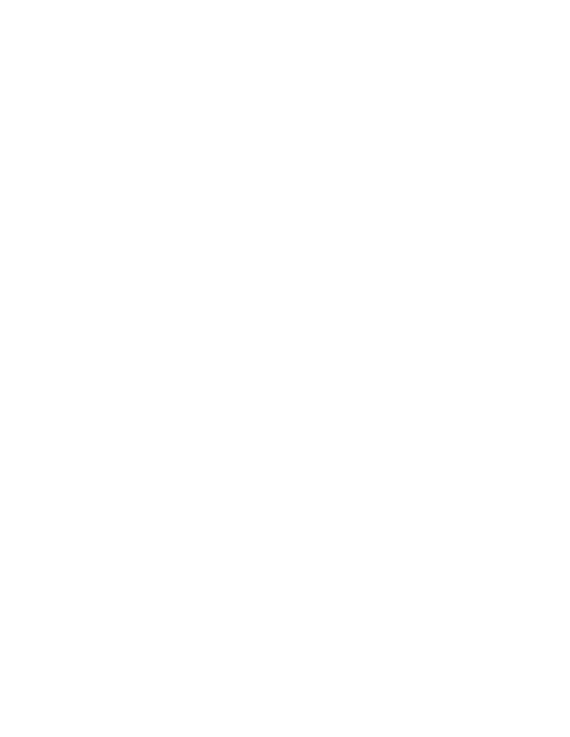## **RADIATION THERAPY ONCOLOGY GROUP**

**RTOG 0522** 

## A RANDOMIZED PHASE III TRIAL OF CONCURRENT ACCELERATED RADIATION AND **CISPLATIN VERSUS CONCURRENT ACCELERATED RADIATION, CISPLATIN, AND** CETUXIMAB (C225) [FOLLOWED BY SURGERY FOR SELECTED PATIENTS] FOR STAGE III AND IV HEAD AND NECK CARCINOMAS

#### **Study Chairs (Continued on next page)**

**Medical Oncology Co-Chair** Rita Axelrod, MD Thomas Jefferson University Hospital 834 Chestnut St./314 Ben Franklin Bldg Philadelphia, PA 19107 215-955-4670/FAX 215-923-9131 rita.axelrod@Jefferson.edu

Medical Oncology Co-Chair Eric Sherman, MD Memorial Sloan-Kettering Cancer Center 1275 York Avenue New York, NY 10021 212-639-8229/FAX 212-717-3487 shermane@mskcc.org

Surgical Oncology Co-Chair Randal Weber, MD MD Anderson Cancer Center 1515 Holcombe Blvd., Unit 441 Houston, TX 77030 713-792-6920/FAX 713-794-4662 rsweber@mdanderson.org

Physics Co-Chair James Galvin, PhD Jefferson Medical College 111 S. 11<sup>th</sup> Street Philadelphia, PA 19107 215-955-8855/FAX 215-955-0412 james.galvin@mail.tju.edu

**Principal Investigator/Radiation Oncology** 

Kian Ang, MD **MD Anderson Cancer Center** 1515 Holcombe Blvd., Suite 97 Houston, TX 77030 713-563-2300/FAX 713-563-2331 kianang@mdanderson.org

Radiation Oncology Co-Chair, U.S. David Rosenthal, MD MD Anderson Cancer Center 1515 Holcombe Blvd., Suite 97 Houston, TX 77030 713-563-2300/FAX 713-794-5573 dirosenthal@mdanderson.org

Radiation Oncology Co-Chair, Canada Phuc Felix Nguyen-Tân, MD **CHUM Hospital Notre Dame** 1560 Sherbrooke Street East Montreal, Quebec, CA H2L 4M1 514-890-8254/FAX 514-412-7537 felix.nguyen.chum@ssss.gouv.qc.ca

PET Co-Chair David Schwartz, MD **MD Anderson Cancer Center** 1515 Holcombe Blvd. Houston, TX 77030 713-563-2381/FAX 713-563-2331 docdls@mdanderson.org

**Activation Date: November 22, 2005** 

**Closure Date:** March 3, 2009

**Update Date:** September 1, 2009

**Version Date: February 23, 2011 Includes Amendments 1-6**  $(Broadcast: 3/2/11)$